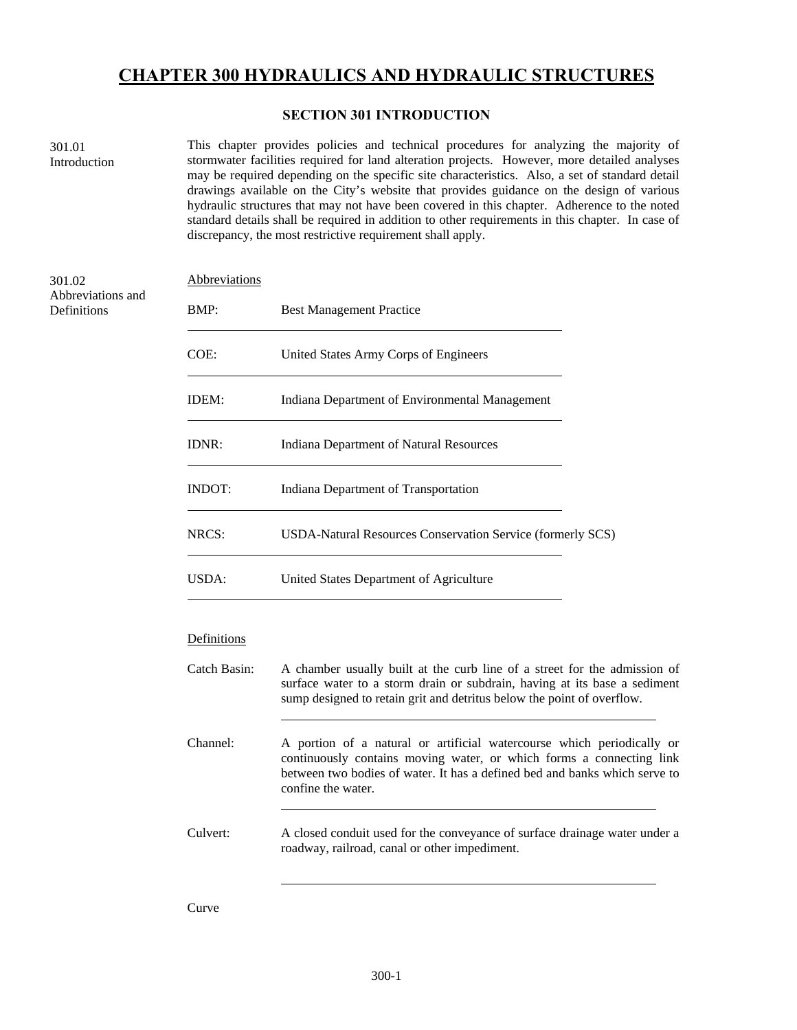# **CHAPTER 300 HYDRAULICS AND HYDRAULIC STRUCTURES**

## **SECTION 301 INTRODUCTION**

301.01 Introduction

This chapter provides policies and technical procedures for analyzing the majority of stormwater facilities required for land alteration projects. However, more detailed analyses may be required depending on the specific site characteristics. Also, a set of standard detail drawings available on the City's website that provides guidance on the design of various hydraulic structures that may not have been covered in this chapter. Adherence to the noted standard details shall be required in addition to other requirements in this chapter. In case of discrepancy, the most restrictive requirement shall apply.

| 301.02                           | Abbreviations |                                                                                                                                                                                                                                                    |  |
|----------------------------------|---------------|----------------------------------------------------------------------------------------------------------------------------------------------------------------------------------------------------------------------------------------------------|--|
| Abbreviations and<br>Definitions | BMP:          | <b>Best Management Practice</b>                                                                                                                                                                                                                    |  |
|                                  | COE:          | United States Army Corps of Engineers                                                                                                                                                                                                              |  |
|                                  | IDEM:         | Indiana Department of Environmental Management                                                                                                                                                                                                     |  |
|                                  | IDNR:         | <b>Indiana Department of Natural Resources</b>                                                                                                                                                                                                     |  |
|                                  | <b>INDOT:</b> | Indiana Department of Transportation                                                                                                                                                                                                               |  |
|                                  | NRCS:         | USDA-Natural Resources Conservation Service (formerly SCS)                                                                                                                                                                                         |  |
|                                  | USDA:         | United States Department of Agriculture                                                                                                                                                                                                            |  |
|                                  | Definitions   |                                                                                                                                                                                                                                                    |  |
|                                  | Catch Basin:  | A chamber usually built at the curb line of a street for the admission of<br>surface water to a storm drain or subdrain, having at its base a sediment<br>sump designed to retain grit and detritus below the point of overflow.                   |  |
|                                  | Channel:      | A portion of a natural or artificial watercourse which periodically or<br>continuously contains moving water, or which forms a connecting link<br>between two bodies of water. It has a defined bed and banks which serve to<br>confine the water. |  |
|                                  | Culvert:      | A closed conduit used for the conveyance of surface drainage water under a<br>roadway, railroad, canal or other impediment.                                                                                                                        |  |
|                                  |               |                                                                                                                                                                                                                                                    |  |

Curve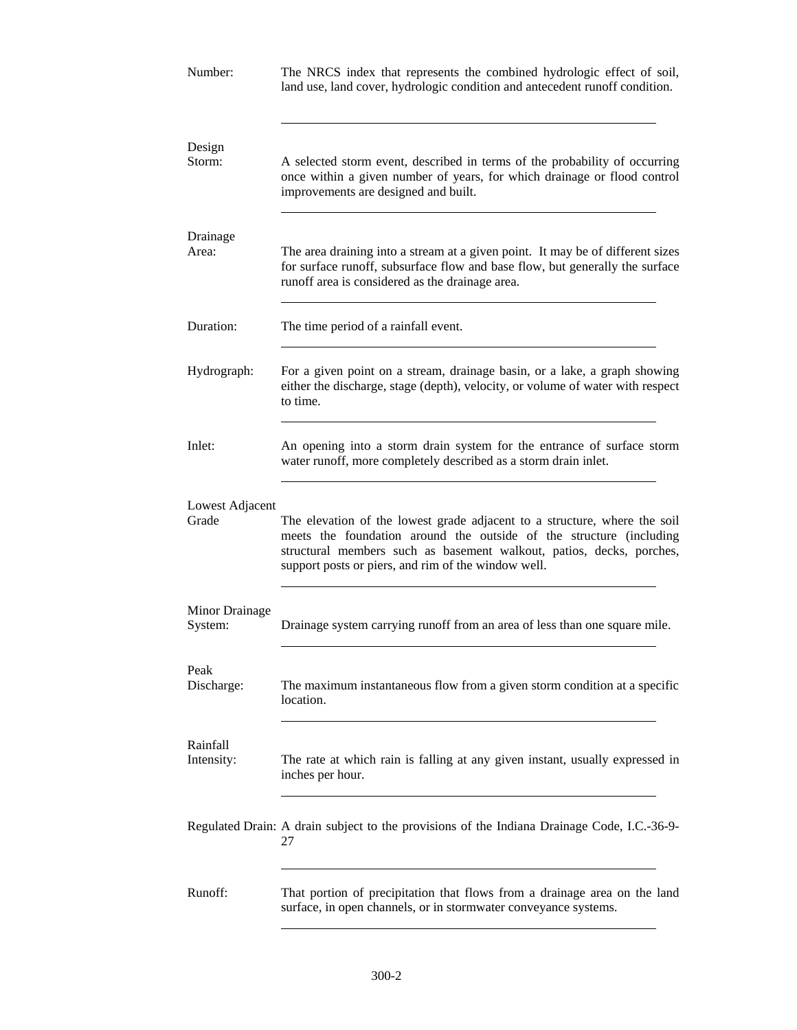| Number:                   | The NRCS index that represents the combined hydrologic effect of soil,<br>land use, land cover, hydrologic condition and antecedent runoff condition.                                                                                                                           |  |  |
|---------------------------|---------------------------------------------------------------------------------------------------------------------------------------------------------------------------------------------------------------------------------------------------------------------------------|--|--|
| Design<br>Storm:          | A selected storm event, described in terms of the probability of occurring<br>once within a given number of years, for which drainage or flood control<br>improvements are designed and built.                                                                                  |  |  |
| Drainage                  |                                                                                                                                                                                                                                                                                 |  |  |
| Area:                     | The area draining into a stream at a given point. It may be of different sizes<br>for surface runoff, subsurface flow and base flow, but generally the surface<br>runoff area is considered as the drainage area.                                                               |  |  |
| Duration:                 | The time period of a rainfall event.                                                                                                                                                                                                                                            |  |  |
| Hydrograph:               | For a given point on a stream, drainage basin, or a lake, a graph showing<br>either the discharge, stage (depth), velocity, or volume of water with respect<br>to time.                                                                                                         |  |  |
| Inlet:                    | An opening into a storm drain system for the entrance of surface storm<br>water runoff, more completely described as a storm drain inlet.                                                                                                                                       |  |  |
| Lowest Adjacent<br>Grade  | The elevation of the lowest grade adjacent to a structure, where the soil<br>meets the foundation around the outside of the structure (including<br>structural members such as basement walkout, patios, decks, porches,<br>support posts or piers, and rim of the window well. |  |  |
| Minor Drainage<br>System: | Drainage system carrying runoff from an area of less than one square mile.                                                                                                                                                                                                      |  |  |
| Peak<br>Discharge:        | The maximum instantaneous flow from a given storm condition at a specific<br>location.                                                                                                                                                                                          |  |  |
| Rainfall<br>Intensity:    | The rate at which rain is falling at any given instant, usually expressed in<br>inches per hour.                                                                                                                                                                                |  |  |
|                           | Regulated Drain: A drain subject to the provisions of the Indiana Drainage Code, I.C.-36-9-<br>27                                                                                                                                                                               |  |  |
| Runoff:                   | That portion of precipitation that flows from a drainage area on the land<br>surface, in open channels, or in stormwater conveyance systems.                                                                                                                                    |  |  |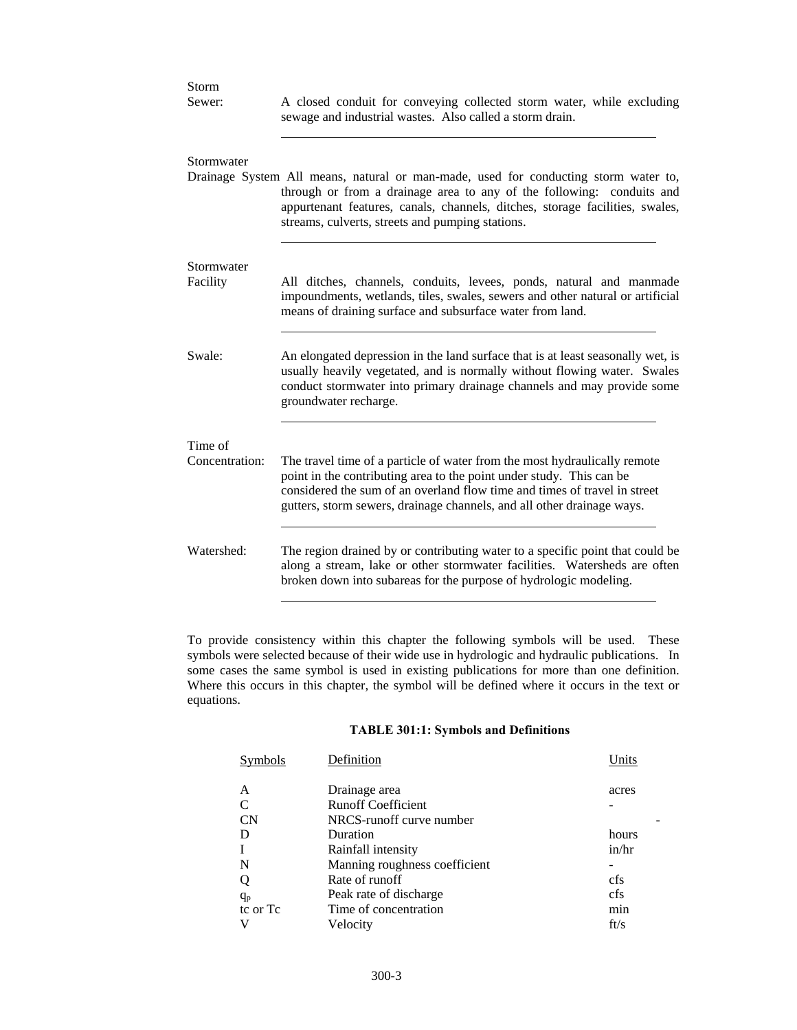| Storm                     |                                                                                                                                                                                                                                                                                                          |
|---------------------------|----------------------------------------------------------------------------------------------------------------------------------------------------------------------------------------------------------------------------------------------------------------------------------------------------------|
| Sewer:                    | A closed conduit for conveying collected storm water, while excluding<br>sewage and industrial wastes. Also called a storm drain.                                                                                                                                                                        |
| Stormwater                |                                                                                                                                                                                                                                                                                                          |
|                           | Drainage System All means, natural or man-made, used for conducting storm water to,<br>through or from a drainage area to any of the following: conduits and<br>appurtenant features, canals, channels, ditches, storage facilities, swales,<br>streams, culverts, streets and pumping stations.         |
|                           |                                                                                                                                                                                                                                                                                                          |
| Stormwater<br>Facility    | All ditches, channels, conduits, levees, ponds, natural and manmade<br>impoundments, wetlands, tiles, swales, sewers and other natural or artificial<br>means of draining surface and subsurface water from land.                                                                                        |
| Swale:                    | An elongated depression in the land surface that is at least seasonally wet, is<br>usually heavily vegetated, and is normally without flowing water. Swales<br>conduct stormwater into primary drainage channels and may provide some<br>groundwater recharge.                                           |
|                           |                                                                                                                                                                                                                                                                                                          |
| Time of<br>Concentration: | The travel time of a particle of water from the most hydraulically remote<br>point in the contributing area to the point under study. This can be<br>considered the sum of an overland flow time and times of travel in street<br>gutters, storm sewers, drainage channels, and all other drainage ways. |
| Watershed:                | The region drained by or contributing water to a specific point that could be<br>along a stream, lake or other stormwater facilities. Watersheds are often<br>broken down into subareas for the purpose of hydrologic modeling.                                                                          |

To provide consistency within this chapter the following symbols will be used. These symbols were selected because of their wide use in hydrologic and hydraulic publications. In some cases the same symbol is used in existing publications for more than one definition. Where this occurs in this chapter, the symbol will be defined where it occurs in the text or equations.

## **TABLE 301:1: Symbols and Definitions**

| Symbols   | Definition                    | Units |
|-----------|-------------------------------|-------|
| А         | Drainage area                 | acres |
|           | <b>Runoff Coefficient</b>     |       |
| <b>CN</b> | NRCS-runoff curve number      |       |
|           | Duration                      | hours |
|           | Rainfall intensity            | in/hr |
| N         | Manning roughness coefficient |       |
| Q         | Rate of runoff                | cfs   |
| $q_{p}$   | Peak rate of discharge        | cfs   |
| to or To  | Time of concentration         | min   |
|           | Velocity                      | ft/s  |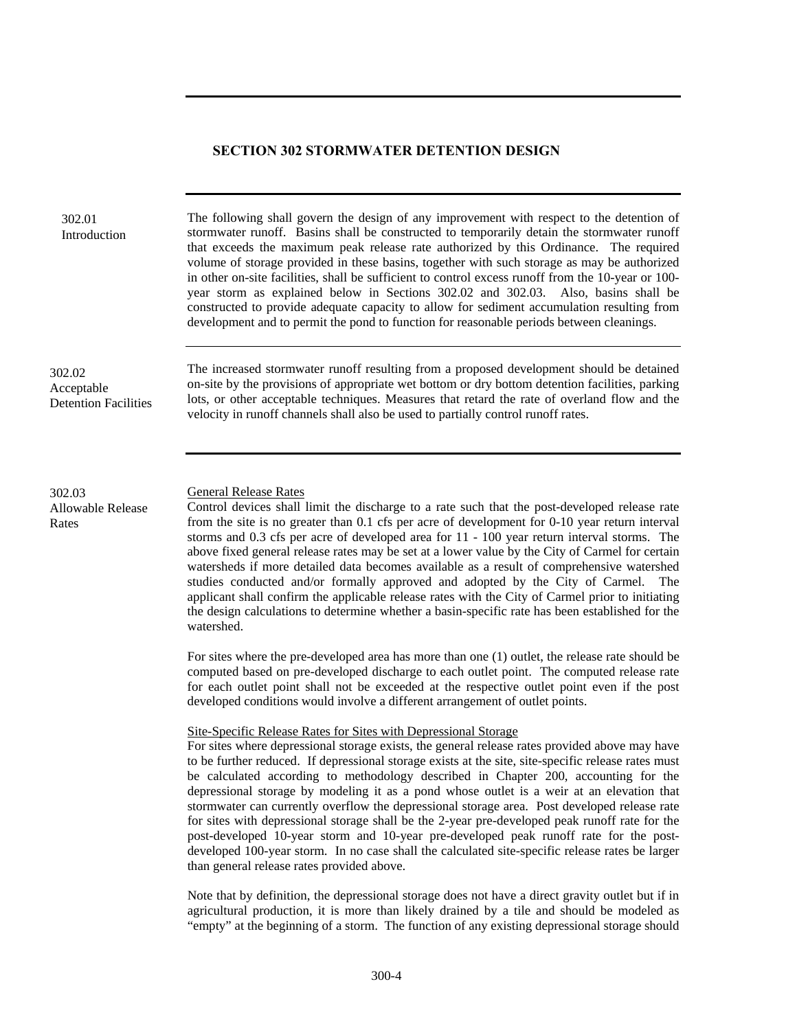#### **SECTION 302 STORMWATER DETENTION DESIGN**

velocity in runoff channels shall also be used to partially control runoff rates.

302.01 Introduction

The following shall govern the design of any improvement with respect to the detention of stormwater runoff. Basins shall be constructed to temporarily detain the stormwater runoff that exceeds the maximum peak release rate authorized by this Ordinance. The required volume of storage provided in these basins, together with such storage as may be authorized in other on-site facilities, shall be sufficient to control excess runoff from the 10-year or 100 year storm as explained below in Sections 302.02 and 302.03. Also, basins shall be constructed to provide adequate capacity to allow for sediment accumulation resulting from development and to permit the pond to function for reasonable periods between cleanings.

The increased stormwater runoff resulting from a proposed development should be detained on-site by the provisions of appropriate wet bottom or dry bottom detention facilities, parking lots, or other acceptable techniques. Measures that retard the rate of overland flow and the

302.02 Acceptable Detention Facilities

302.03 General Release Rates Allowable Release

Rates

Control devices shall limit the discharge to a rate such that the post-developed release rate from the site is no greater than 0.1 cfs per acre of development for 0-10 year return interval storms and 0.3 cfs per acre of developed area for 11 - 100 year return interval storms. The above fixed general release rates may be set at a lower value by the City of Carmel for certain watersheds if more detailed data becomes available as a result of comprehensive watershed studies conducted and/or formally approved and adopted by the City of Carmel. The applicant shall confirm the applicable release rates with the City of Carmel prior to initiating the design calculations to determine whether a basin-specific rate has been established for the watershed.

For sites where the pre-developed area has more than one (1) outlet, the release rate should be computed based on pre-developed discharge to each outlet point. The computed release rate for each outlet point shall not be exceeded at the respective outlet point even if the post developed conditions would involve a different arrangement of outlet points.

Site-Specific Release Rates for Sites with Depressional Storage

For sites where depressional storage exists, the general release rates provided above may have to be further reduced. If depressional storage exists at the site, site-specific release rates must be calculated according to methodology described in Chapter 200, accounting for the depressional storage by modeling it as a pond whose outlet is a weir at an elevation that stormwater can currently overflow the depressional storage area. Post developed release rate for sites with depressional storage shall be the 2-year pre-developed peak runoff rate for the post-developed 10-year storm and 10-year pre-developed peak runoff rate for the postdeveloped 100-year storm. In no case shall the calculated site-specific release rates be larger than general release rates provided above.

Note that by definition, the depressional storage does not have a direct gravity outlet but if in agricultural production, it is more than likely drained by a tile and should be modeled as "empty" at the beginning of a storm. The function of any existing depressional storage should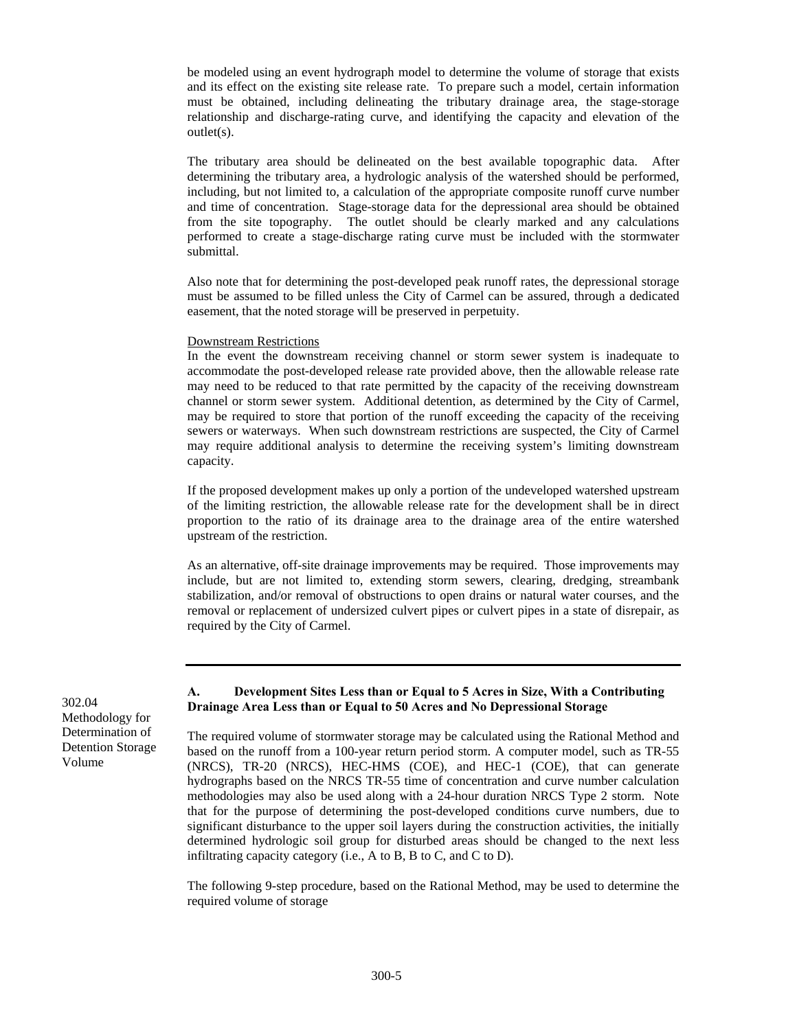be modeled using an event hydrograph model to determine the volume of storage that exists and its effect on the existing site release rate. To prepare such a model, certain information must be obtained, including delineating the tributary drainage area, the stage-storage relationship and discharge-rating curve, and identifying the capacity and elevation of the outlet(s).

The tributary area should be delineated on the best available topographic data. After determining the tributary area, a hydrologic analysis of the watershed should be performed, including, but not limited to, a calculation of the appropriate composite runoff curve number and time of concentration. Stage-storage data for the depressional area should be obtained from the site topography. The outlet should be clearly marked and any calculations performed to create a stage-discharge rating curve must be included with the stormwater submittal.

Also note that for determining the post-developed peak runoff rates, the depressional storage must be assumed to be filled unless the City of Carmel can be assured, through a dedicated easement, that the noted storage will be preserved in perpetuity.

#### Downstream Restrictions

In the event the downstream receiving channel or storm sewer system is inadequate to accommodate the post-developed release rate provided above, then the allowable release rate may need to be reduced to that rate permitted by the capacity of the receiving downstream channel or storm sewer system. Additional detention, as determined by the City of Carmel, may be required to store that portion of the runoff exceeding the capacity of the receiving sewers or waterways. When such downstream restrictions are suspected, the City of Carmel may require additional analysis to determine the receiving system's limiting downstream capacity.

If the proposed development makes up only a portion of the undeveloped watershed upstream of the limiting restriction, the allowable release rate for the development shall be in direct proportion to the ratio of its drainage area to the drainage area of the entire watershed upstream of the restriction.

As an alternative, off-site drainage improvements may be required. Those improvements may include, but are not limited to, extending storm sewers, clearing, dredging, streambank stabilization, and/or removal of obstructions to open drains or natural water courses, and the removal or replacement of undersized culvert pipes or culvert pipes in a state of disrepair, as required by the City of Carmel.

Methodology for Determination of Detention Storage Volume

#### **A. Development Sites Less than or Equal to 5 Acres in Size, With a Contributing Drainage Area Less than or Equal to 50 Acres and No Depressional Storage** 302.04

The required volume of stormwater storage may be calculated using the Rational Method and based on the runoff from a 100-year return period storm. A computer model, such as TR-55 (NRCS), TR-20 (NRCS), HEC-HMS (COE), and HEC-1 (COE), that can generate hydrographs based on the NRCS TR-55 time of concentration and curve number calculation methodologies may also be used along with a 24-hour duration NRCS Type 2 storm. Note that for the purpose of determining the post-developed conditions curve numbers, due to significant disturbance to the upper soil layers during the construction activities, the initially determined hydrologic soil group for disturbed areas should be changed to the next less infiltrating capacity category (i.e., A to B, B to C, and C to D).

The following 9-step procedure, based on the Rational Method, may be used to determine the required volume of storage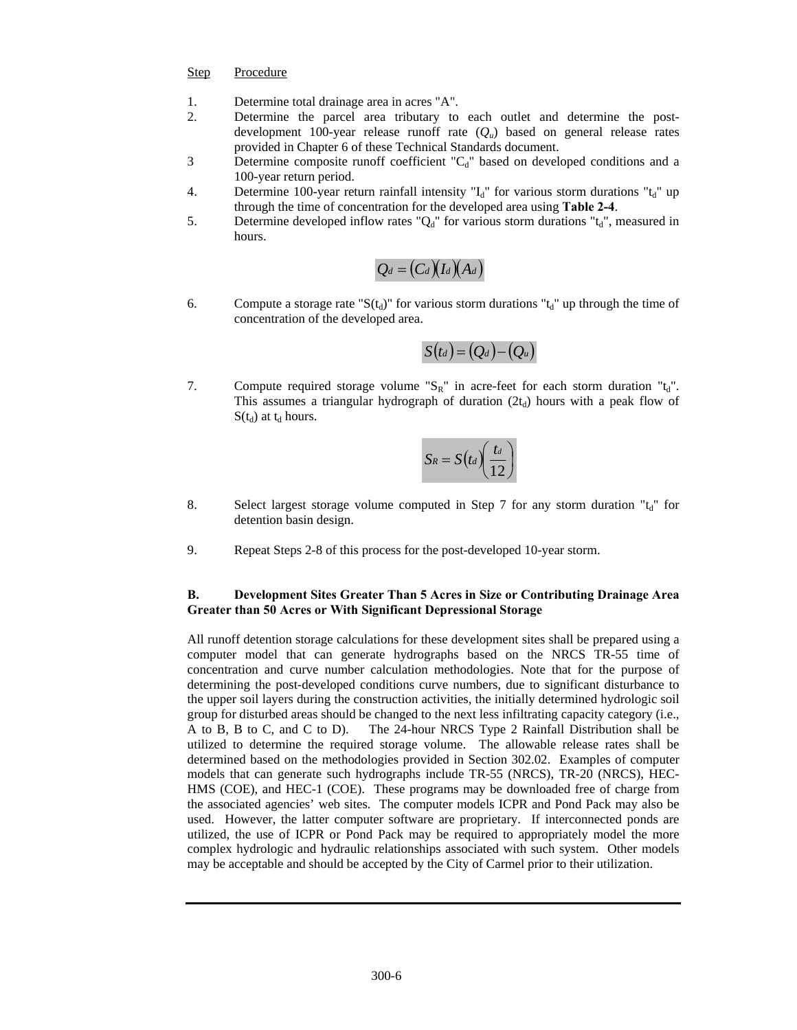#### Step Procedure

- 1. Determine total drainage area in acres "A".
- 2. Determine the parcel area tributary to each outlet and determine the postdevelopment 100-year release runoff rate (*Qu*) based on general release rates provided in Chapter 6 of these Technical Standards document.
- 3 Determine composite runoff coefficient "C<sub>d</sub>" based on developed conditions and a 100-year return period.
- 4. Determine 100-year return rainfall intensity " $I_d$ " for various storm durations " $t_d$ " up through the time of concentration for the developed area using **Table 2-4**.
- 5. Determine developed inflow rates " $Q_d$ " for various storm durations " $t_d$ ", measured in hours.

$$
Q_d = \big(C_d\big)(I_d\big)(A_d)
$$

6. Compute a storage rate " $S(t_d)$ " for various storm durations " $t_d$ " up through the time of concentration of the developed area.

$$
S\bigl(t_{d}\bigr)=\bigl(Q_{d}\bigr)-\bigl(Q_{u}\bigr)
$$

7. Compute required storage volume " $S_R$ " in acre-feet for each storm duration " $t_d$ ". This assumes a triangular hydrograph of duration  $(2t_d)$  hours with a peak flow of  $S(t_d)$  at  $t_d$  hours.

$$
S_R = S\big(t_d\bigg)\bigg(\frac{t_d}{12}\bigg)
$$

- 8. Select largest storage volume computed in Step 7 for any storm duration  $t_d$ " for detention basin design.
- 9. Repeat Steps 2-8 of this process for the post-developed 10-year storm.

#### **B. Development Sites Greater Than 5 Acres in Size or Contributing Drainage Area Greater than 50 Acres or With Significant Depressional Storage**

All runoff detention storage calculations for these development sites shall be prepared using a computer model that can generate hydrographs based on the NRCS TR-55 time of concentration and curve number calculation methodologies. Note that for the purpose of determining the post-developed conditions curve numbers, due to significant disturbance to the upper soil layers during the construction activities, the initially determined hydrologic soil group for disturbed areas should be changed to the next less infiltrating capacity category (i.e., A to B, B to C, and C to D). The 24-hour NRCS Type 2 Rainfall Distribution shall be utilized to determine the required storage volume. The allowable release rates shall be determined based on the methodologies provided in Section 302.02. Examples of computer models that can generate such hydrographs include TR-55 (NRCS), TR-20 (NRCS), HEC-HMS (COE), and HEC-1 (COE). These programs may be downloaded free of charge from the associated agencies' web sites. The computer models ICPR and Pond Pack may also be used. However, the latter computer software are proprietary. If interconnected ponds are utilized, the use of ICPR or Pond Pack may be required to appropriately model the more complex hydrologic and hydraulic relationships associated with such system. Other models may be acceptable and should be accepted by the City of Carmel prior to their utilization.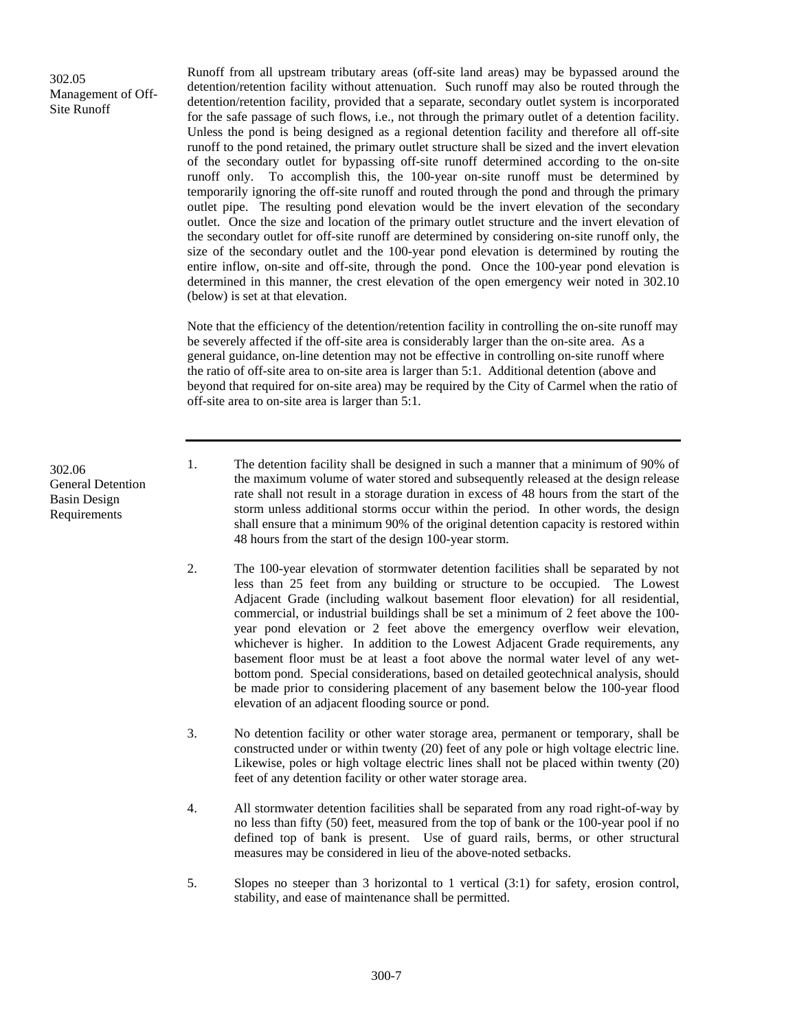302.05 Management of Off-Site Runoff

Runoff from all upstream tributary areas (off-site land areas) may be bypassed around the detention/retention facility without attenuation. Such runoff may also be routed through the detention/retention facility, provided that a separate, secondary outlet system is incorporated for the safe passage of such flows, i.e., not through the primary outlet of a detention facility. Unless the pond is being designed as a regional detention facility and therefore all off-site runoff to the pond retained, the primary outlet structure shall be sized and the invert elevation of the secondary outlet for bypassing off-site runoff determined according to the on-site runoff only. To accomplish this, the 100-year on-site runoff must be determined by temporarily ignoring the off-site runoff and routed through the pond and through the primary outlet pipe. The resulting pond elevation would be the invert elevation of the secondary outlet. Once the size and location of the primary outlet structure and the invert elevation of the secondary outlet for off-site runoff are determined by considering on-site runoff only, the size of the secondary outlet and the 100-year pond elevation is determined by routing the entire inflow, on-site and off-site, through the pond. Once the 100-year pond elevation is determined in this manner, the crest elevation of the open emergency weir noted in 302.10 (below) is set at that elevation.

Note that the efficiency of the detention/retention facility in controlling the on-site runoff may be severely affected if the off-site area is considerably larger than the on-site area. As a general guidance, on-line detention may not be effective in controlling on-site runoff where the ratio of off-site area to on-site area is larger than 5:1. Additional detention (above and beyond that required for on-site area) may be required by the City of Carmel when the ratio of off-site area to on-site area is larger than 5:1.

302.06 General Detention Basin Design Requirements

- 1. The detention facility shall be designed in such a manner that a minimum of 90% of the maximum volume of water stored and subsequently released at the design release rate shall not result in a storage duration in excess of 48 hours from the start of the storm unless additional storms occur within the period. In other words, the design shall ensure that a minimum 90% of the original detention capacity is restored within 48 hours from the start of the design 100-year storm.
- 2. The 100-year elevation of stormwater detention facilities shall be separated by not less than 25 feet from any building or structure to be occupied. The Lowest Adjacent Grade (including walkout basement floor elevation) for all residential, commercial, or industrial buildings shall be set a minimum of 2 feet above the 100 year pond elevation or 2 feet above the emergency overflow weir elevation, whichever is higher. In addition to the Lowest Adjacent Grade requirements, any basement floor must be at least a foot above the normal water level of any wetbottom pond. Special considerations, based on detailed geotechnical analysis, should be made prior to considering placement of any basement below the 100-year flood elevation of an adjacent flooding source or pond.
- 3. No detention facility or other water storage area, permanent or temporary, shall be constructed under or within twenty (20) feet of any pole or high voltage electric line. Likewise, poles or high voltage electric lines shall not be placed within twenty (20) feet of any detention facility or other water storage area.
- 4. All stormwater detention facilities shall be separated from any road right-of-way by no less than fifty (50) feet, measured from the top of bank or the 100-year pool if no defined top of bank is present. Use of guard rails, berms, or other structural measures may be considered in lieu of the above-noted setbacks.
- 5. Slopes no steeper than 3 horizontal to 1 vertical (3:1) for safety, erosion control, stability, and ease of maintenance shall be permitted.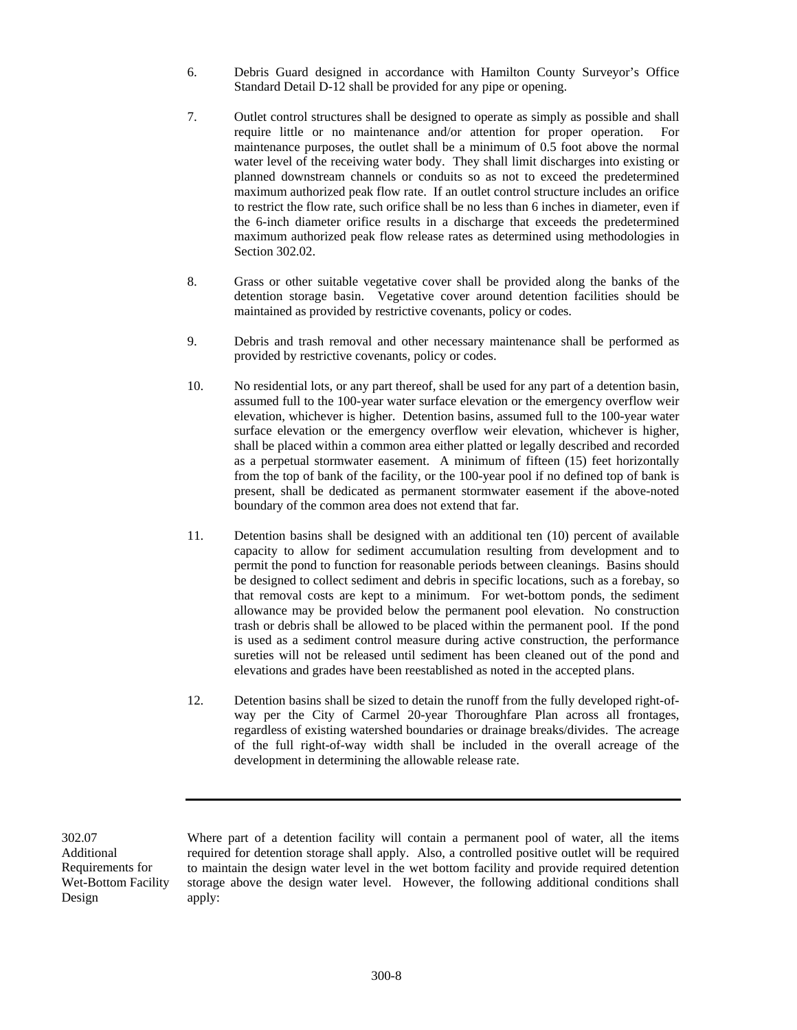- 6. Debris Guard designed in accordance with Hamilton County Surveyor's Office Standard Detail D-12 shall be provided for any pipe or opening.
- 7. Outlet control structures shall be designed to operate as simply as possible and shall require little or no maintenance and/or attention for proper operation. For maintenance purposes, the outlet shall be a minimum of 0.5 foot above the normal water level of the receiving water body. They shall limit discharges into existing or planned downstream channels or conduits so as not to exceed the predetermined maximum authorized peak flow rate. If an outlet control structure includes an orifice to restrict the flow rate, such orifice shall be no less than 6 inches in diameter, even if the 6-inch diameter orifice results in a discharge that exceeds the predetermined maximum authorized peak flow release rates as determined using methodologies in Section 302.02.
- 8. Grass or other suitable vegetative cover shall be provided along the banks of the detention storage basin. Vegetative cover around detention facilities should be maintained as provided by restrictive covenants, policy or codes.
- 9. Debris and trash removal and other necessary maintenance shall be performed as provided by restrictive covenants, policy or codes.
- 10. No residential lots, or any part thereof, shall be used for any part of a detention basin, assumed full to the 100-year water surface elevation or the emergency overflow weir elevation, whichever is higher. Detention basins, assumed full to the 100-year water surface elevation or the emergency overflow weir elevation, whichever is higher, shall be placed within a common area either platted or legally described and recorded as a perpetual stormwater easement. A minimum of fifteen (15) feet horizontally from the top of bank of the facility, or the 100-year pool if no defined top of bank is present, shall be dedicated as permanent stormwater easement if the above-noted boundary of the common area does not extend that far.
- 11. Detention basins shall be designed with an additional ten (10) percent of available capacity to allow for sediment accumulation resulting from development and to permit the pond to function for reasonable periods between cleanings. Basins should be designed to collect sediment and debris in specific locations, such as a forebay, so that removal costs are kept to a minimum. For wet-bottom ponds, the sediment allowance may be provided below the permanent pool elevation. No construction trash or debris shall be allowed to be placed within the permanent pool. If the pond is used as a sediment control measure during active construction, the performance sureties will not be released until sediment has been cleaned out of the pond and elevations and grades have been reestablished as noted in the accepted plans.
- 12. Detention basins shall be sized to detain the runoff from the fully developed right-ofway per the City of Carmel 20-year Thoroughfare Plan across all frontages, regardless of existing watershed boundaries or drainage breaks/divides. The acreage of the full right-of-way width shall be included in the overall acreage of the development in determining the allowable release rate.

302.07 Additional Requirements for Wet-Bottom Facility Design

Where part of a detention facility will contain a permanent pool of water, all the items required for detention storage shall apply. Also, a controlled positive outlet will be required to maintain the design water level in the wet bottom facility and provide required detention storage above the design water level. However, the following additional conditions shall apply: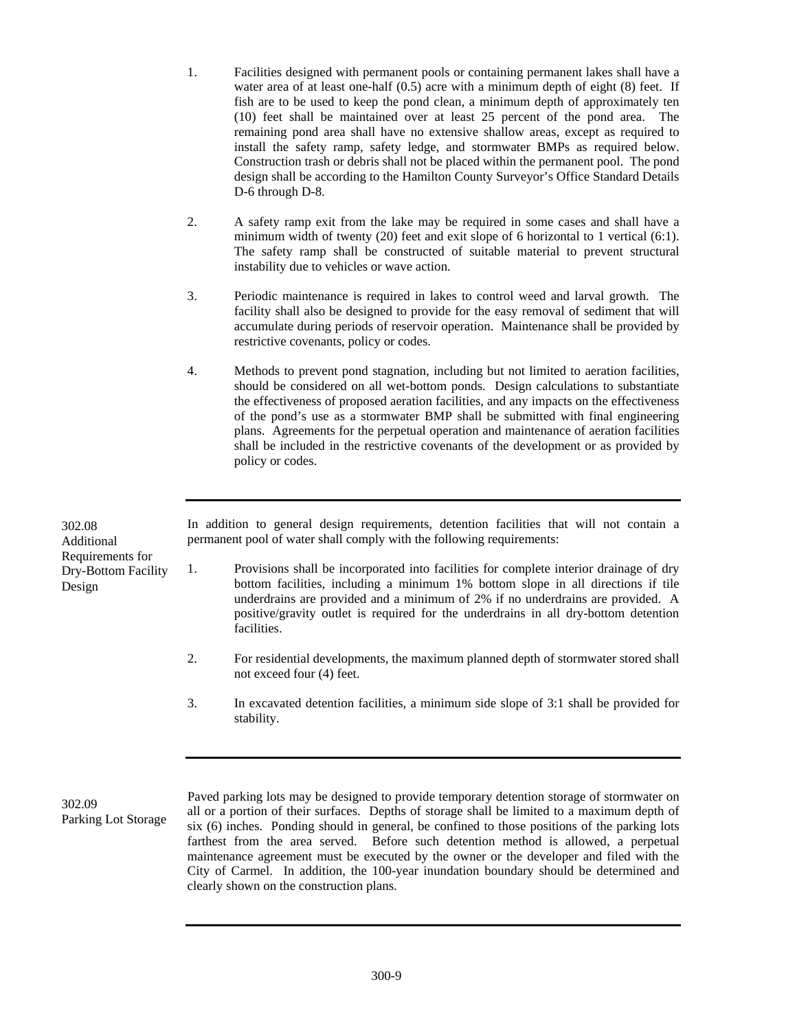- 1. Facilities designed with permanent pools or containing permanent lakes shall have a water area of at least one-half (0.5) acre with a minimum depth of eight (8) feet. If fish are to be used to keep the pond clean, a minimum depth of approximately ten (10) feet shall be maintained over at least 25 percent of the pond area. The remaining pond area shall have no extensive shallow areas, except as required to install the safety ramp, safety ledge, and stormwater BMPs as required below. Construction trash or debris shall not be placed within the permanent pool. The pond design shall be according to the Hamilton County Surveyor's Office Standard Details D-6 through D-8.
- 2. A safety ramp exit from the lake may be required in some cases and shall have a minimum width of twenty (20) feet and exit slope of 6 horizontal to 1 vertical (6:1). The safety ramp shall be constructed of suitable material to prevent structural instability due to vehicles or wave action.
- 3. Periodic maintenance is required in lakes to control weed and larval growth. The facility shall also be designed to provide for the easy removal of sediment that will accumulate during periods of reservoir operation. Maintenance shall be provided by restrictive covenants, policy or codes.
- 4. Methods to prevent pond stagnation, including but not limited to aeration facilities, should be considered on all wet-bottom ponds. Design calculations to substantiate the effectiveness of proposed aeration facilities, and any impacts on the effectiveness of the pond's use as a stormwater BMP shall be submitted with final engineering plans. Agreements for the perpetual operation and maintenance of aeration facilities shall be included in the restrictive covenants of the development or as provided by policy or codes.

302.08 Additional Requirements for Dry-Bottom Facility Design

In addition to general design requirements, detention facilities that will not contain a permanent pool of water shall comply with the following requirements:

- 1. Provisions shall be incorporated into facilities for complete interior drainage of dry bottom facilities, including a minimum 1% bottom slope in all directions if tile underdrains are provided and a minimum of 2% if no underdrains are provided. A positive/gravity outlet is required for the underdrains in all dry-bottom detention facilities.
- 2. For residential developments, the maximum planned depth of stormwater stored shall not exceed four (4) feet.
- 3. In excavated detention facilities, a minimum side slope of 3:1 shall be provided for stability.

302.09 Parking Lot Storage  Paved parking lots may be designed to provide temporary detention storage of stormwater on all or a portion of their surfaces. Depths of storage shall be limited to a maximum depth of six (6) inches. Ponding should in general, be confined to those positions of the parking lots farthest from the area served. Before such detention method is allowed, a perpetual maintenance agreement must be executed by the owner or the developer and filed with the City of Carmel. In addition, the 100-year inundation boundary should be determined and clearly shown on the construction plans.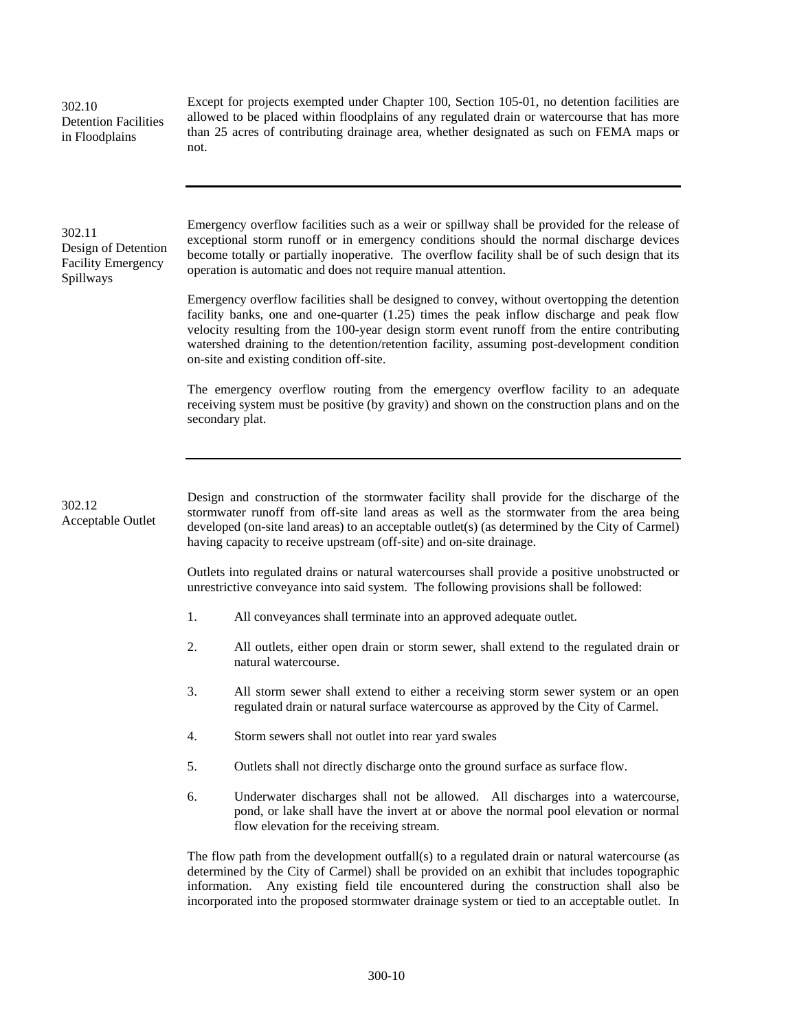| 302.10<br><b>Detention Facilities</b><br>in Floodplains                 | Except for projects exempted under Chapter 100, Section 105-01, no detention facilities are<br>allowed to be placed within floodplains of any regulated drain or watercourse that has more<br>than 25 acres of contributing drainage area, whether designated as such on FEMA maps or<br>not.                                                                                                                                        |  |  |
|-------------------------------------------------------------------------|--------------------------------------------------------------------------------------------------------------------------------------------------------------------------------------------------------------------------------------------------------------------------------------------------------------------------------------------------------------------------------------------------------------------------------------|--|--|
| 302.11<br>Design of Detention<br><b>Facility Emergency</b><br>Spillways | Emergency overflow facilities such as a weir or spillway shall be provided for the release of<br>exceptional storm runoff or in emergency conditions should the normal discharge devices<br>become totally or partially inoperative. The overflow facility shall be of such design that its<br>operation is automatic and does not require manual attention.                                                                         |  |  |
|                                                                         | Emergency overflow facilities shall be designed to convey, without overtopping the detention<br>facility banks, one and one-quarter $(1.25)$ times the peak inflow discharge and peak flow<br>velocity resulting from the 100-year design storm event runoff from the entire contributing<br>watershed draining to the detention/retention facility, assuming post-development condition<br>on-site and existing condition off-site. |  |  |
|                                                                         | The emergency overflow routing from the emergency overflow facility to an adequate<br>receiving system must be positive (by gravity) and shown on the construction plans and on the<br>secondary plat.                                                                                                                                                                                                                               |  |  |
|                                                                         |                                                                                                                                                                                                                                                                                                                                                                                                                                      |  |  |
| 302.12<br>Acceptable Outlet                                             | Design and construction of the stormwater facility shall provide for the discharge of the<br>stormwater runoff from off-site land areas as well as the stormwater from the area being<br>developed (on-site land areas) to an acceptable outlet(s) (as determined by the City of Carmel)<br>having capacity to receive upstream (off-site) and on-site drainage.                                                                     |  |  |
|                                                                         | Outlets into regulated drains or natural watercourses shall provide a positive unobstructed or<br>unrestrictive conveyance into said system. The following provisions shall be followed:                                                                                                                                                                                                                                             |  |  |
|                                                                         | 1.<br>All conveyances shall terminate into an approved adequate outlet.                                                                                                                                                                                                                                                                                                                                                              |  |  |
|                                                                         | 2.<br>All outlets, either open drain or storm sewer, shall extend to the regulated drain or<br>natural watercourse.                                                                                                                                                                                                                                                                                                                  |  |  |
|                                                                         | 3.<br>All storm sewer shall extend to either a receiving storm sewer system or an open<br>regulated drain or natural surface watercourse as approved by the City of Carmel.                                                                                                                                                                                                                                                          |  |  |
|                                                                         | 4.<br>Storm sewers shall not outlet into rear yard swales                                                                                                                                                                                                                                                                                                                                                                            |  |  |
|                                                                         | 5.<br>Outlets shall not directly discharge onto the ground surface as surface flow.                                                                                                                                                                                                                                                                                                                                                  |  |  |
|                                                                         | 6.<br>Underwater discharges shall not be allowed. All discharges into a watercourse,<br>pond, or lake shall have the invert at or above the normal pool elevation or normal<br>flow elevation for the receiving stream.                                                                                                                                                                                                              |  |  |
|                                                                         | The flow path from the development outfall(s) to a regulated drain or natural watercourse (as<br>determined by the City of Carmel) shall be provided on an exhibit that includes topographic<br>information. Any existing field tile encountered during the construction shall also be<br>incorporated into the proposed stormwater drainage system or tied to an acceptable outlet. In                                              |  |  |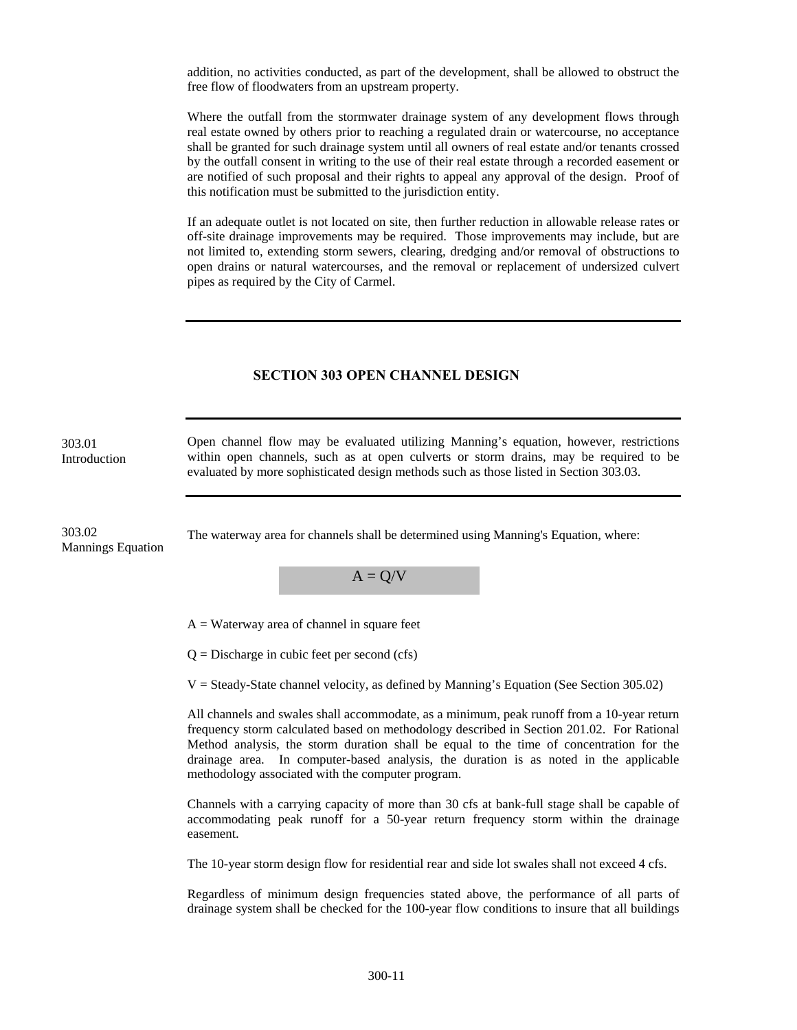addition, no activities conducted, as part of the development, shall be allowed to obstruct the free flow of floodwaters from an upstream property.

Where the outfall from the stormwater drainage system of any development flows through real estate owned by others prior to reaching a regulated drain or watercourse, no acceptance shall be granted for such drainage system until all owners of real estate and/or tenants crossed by the outfall consent in writing to the use of their real estate through a recorded easement or are notified of such proposal and their rights to appeal any approval of the design. Proof of this notification must be submitted to the jurisdiction entity.

If an adequate outlet is not located on site, then further reduction in allowable release rates or off-site drainage improvements may be required. Those improvements may include, but are not limited to, extending storm sewers, clearing, dredging and/or removal of obstructions to open drains or natural watercourses, and the removal or replacement of undersized culvert pipes as required by the City of Carmel.

## **SECTION 303 OPEN CHANNEL DESIGN**

| 303.01<br>Introduction             | Open channel flow may be evaluated utilizing Manning's equation, however, restrictions<br>within open channels, such as at open culverts or storm drains, may be required to be<br>evaluated by more sophisticated design methods such as those listed in Section 303.03.                                                                                                                                                        |
|------------------------------------|----------------------------------------------------------------------------------------------------------------------------------------------------------------------------------------------------------------------------------------------------------------------------------------------------------------------------------------------------------------------------------------------------------------------------------|
| 303.02<br><b>Mannings Equation</b> | The waterway area for channels shall be determined using Manning's Equation, where:                                                                                                                                                                                                                                                                                                                                              |
|                                    | $A = Q/V$                                                                                                                                                                                                                                                                                                                                                                                                                        |
|                                    | $A = Waterway$ area of channel in square feet                                                                                                                                                                                                                                                                                                                                                                                    |
|                                    | $Q =$ Discharge in cubic feet per second (cfs)                                                                                                                                                                                                                                                                                                                                                                                   |
|                                    | $V = Steady-State channel velocity, as defined by Manning's Equation (See Section 305.02)$                                                                                                                                                                                                                                                                                                                                       |
|                                    | All channels and swales shall accommodate, as a minimum, peak runoff from a 10-year return<br>frequency storm calculated based on methodology described in Section 201.02. For Rational<br>Method analysis, the storm duration shall be equal to the time of concentration for the<br>drainage area. In computer-based analysis, the duration is as noted in the applicable<br>methodology associated with the computer program. |
|                                    | Channels with a carrying capacity of more than 30 cfs at bank-full stage shall be capable of<br>accommodating peak runoff for a 50-year return frequency storm within the drainage<br>easement.                                                                                                                                                                                                                                  |
|                                    | The 10-year storm design flow for residential rear and side lot swales shall not exceed 4 cfs.                                                                                                                                                                                                                                                                                                                                   |
|                                    | Regardless of minimum design frequencies stated above, the performance of all parts of<br>drainage system shall be checked for the 100-year flow conditions to insure that all buildings                                                                                                                                                                                                                                         |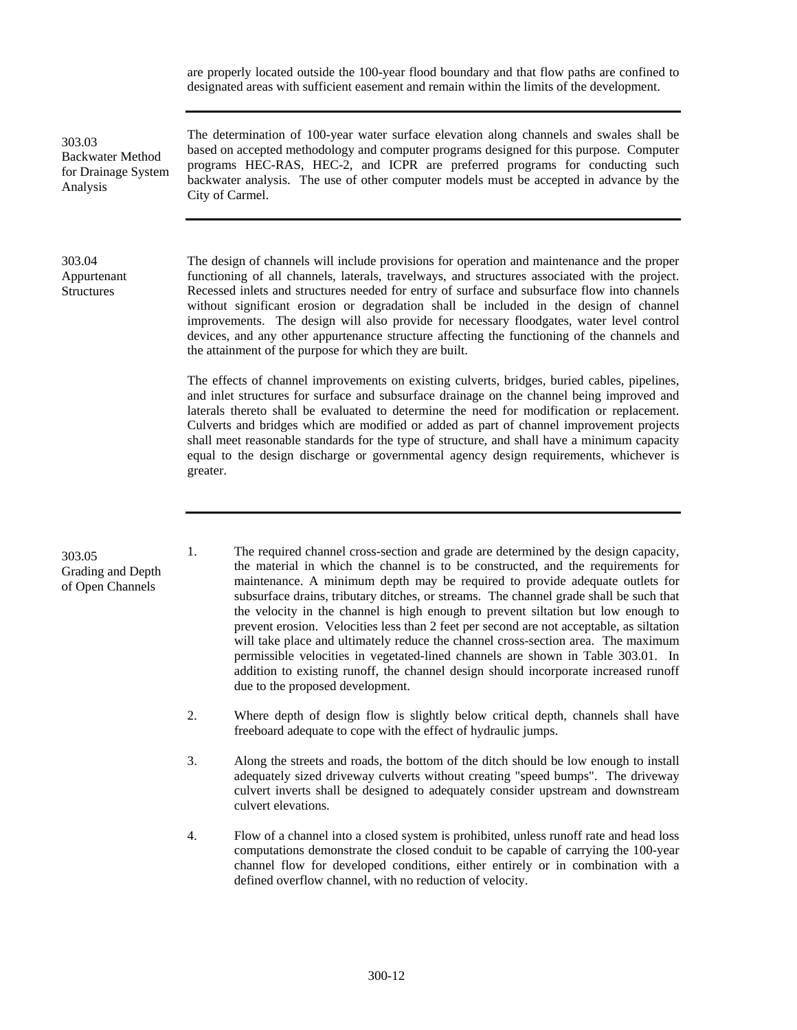are properly located outside the 100-year flood boundary and that flow paths are confined to designated areas with sufficient easement and remain within the limits of the development.

303.03 Backwater Method for Drainage System Analysis

The determination of 100-year water surface elevation along channels and swales shall be based on accepted methodology and computer programs designed for this purpose. Computer programs HEC-RAS, HEC-2, and ICPR are preferred programs for conducting such backwater analysis. The use of other computer models must be accepted in advance by the City of Carmel.

### 303.04 Appurtenant **Structures**

The design of channels will include provisions for operation and maintenance and the proper functioning of all channels, laterals, travelways, and structures associated with the project. Recessed inlets and structures needed for entry of surface and subsurface flow into channels without significant erosion or degradation shall be included in the design of channel improvements. The design will also provide for necessary floodgates, water level control devices, and any other appurtenance structure affecting the functioning of the channels and the attainment of the purpose for which they are built.

The effects of channel improvements on existing culverts, bridges, buried cables, pipelines, and inlet structures for surface and subsurface drainage on the channel being improved and laterals thereto shall be evaluated to determine the need for modification or replacement. Culverts and bridges which are modified or added as part of channel improvement projects shall meet reasonable standards for the type of structure, and shall have a minimum capacity equal to the design discharge or governmental agency design requirements, whichever is greater.

### 303.05 Grading and Depth of Open Channels

1. The required channel cross-section and grade are determined by the design capacity, the material in which the channel is to be constructed, and the requirements for maintenance. A minimum depth may be required to provide adequate outlets for subsurface drains, tributary ditches, or streams. The channel grade shall be such that the velocity in the channel is high enough to prevent siltation but low enough to prevent erosion. Velocities less than 2 feet per second are not acceptable, as siltation will take place and ultimately reduce the channel cross-section area. The maximum permissible velocities in vegetated-lined channels are shown in Table 303.01. In addition to existing runoff, the channel design should incorporate increased runoff due to the proposed development.

- 2. Where depth of design flow is slightly below critical depth, channels shall have freeboard adequate to cope with the effect of hydraulic jumps.
- 3. Along the streets and roads, the bottom of the ditch should be low enough to install adequately sized driveway culverts without creating "speed bumps". The driveway culvert inverts shall be designed to adequately consider upstream and downstream culvert elevations.
- 4. Flow of a channel into a closed system is prohibited, unless runoff rate and head loss computations demonstrate the closed conduit to be capable of carrying the 100-year channel flow for developed conditions, either entirely or in combination with a defined overflow channel, with no reduction of velocity.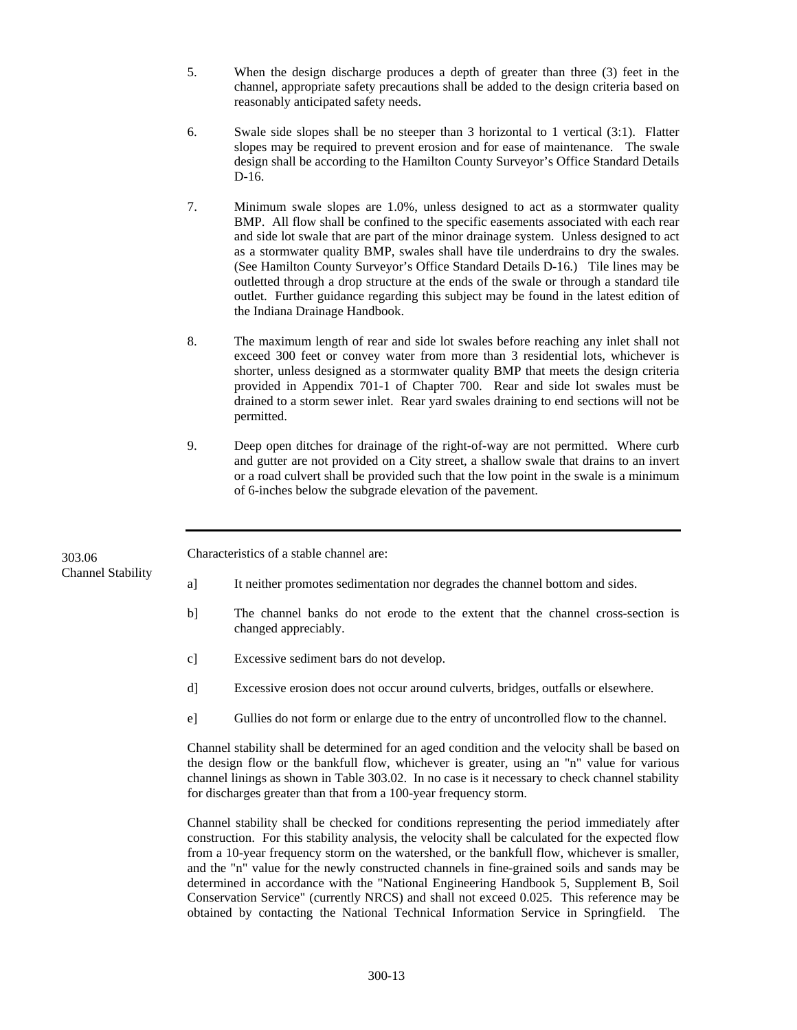- 5. When the design discharge produces a depth of greater than three (3) feet in the channel, appropriate safety precautions shall be added to the design criteria based on reasonably anticipated safety needs.
- 6. Swale side slopes shall be no steeper than 3 horizontal to 1 vertical (3:1). Flatter slopes may be required to prevent erosion and for ease of maintenance. The swale design shall be according to the Hamilton County Surveyor's Office Standard Details D-16.
- 7. Minimum swale slopes are 1.0%, unless designed to act as a stormwater quality BMP. All flow shall be confined to the specific easements associated with each rear and side lot swale that are part of the minor drainage system. Unless designed to act as a stormwater quality BMP, swales shall have tile underdrains to dry the swales. (See Hamilton County Surveyor's Office Standard Details D-16.) Tile lines may be outletted through a drop structure at the ends of the swale or through a standard tile outlet. Further guidance regarding this subject may be found in the latest edition of the Indiana Drainage Handbook.
- 8. The maximum length of rear and side lot swales before reaching any inlet shall not exceed 300 feet or convey water from more than 3 residential lots, whichever is shorter, unless designed as a stormwater quality BMP that meets the design criteria provided in Appendix 701-1 of Chapter 700. Rear and side lot swales must be drained to a storm sewer inlet. Rear yard swales draining to end sections will not be permitted.
- 9. Deep open ditches for drainage of the right-of-way are not permitted. Where curb and gutter are not provided on a City street, a shallow swale that drains to an invert or a road culvert shall be provided such that the low point in the swale is a minimum of 6-inches below the subgrade elevation of the pavement.

Characteristics of a stable channel are: 303.06

- Channel Stability a] It neither promotes sedimentation nor degrades the channel bottom and sides.
	- b] The channel banks do not erode to the extent that the channel cross-section is changed appreciably.
	- c] Excessive sediment bars do not develop.
	- d] Excessive erosion does not occur around culverts, bridges, outfalls or elsewhere.
	- e] Gullies do not form or enlarge due to the entry of uncontrolled flow to the channel.

Channel stability shall be determined for an aged condition and the velocity shall be based on the design flow or the bankfull flow, whichever is greater, using an "n" value for various channel linings as shown in Table 303.02. In no case is it necessary to check channel stability for discharges greater than that from a 100-year frequency storm.

Channel stability shall be checked for conditions representing the period immediately after construction. For this stability analysis, the velocity shall be calculated for the expected flow from a 10-year frequency storm on the watershed, or the bankfull flow, whichever is smaller, and the "n" value for the newly constructed channels in fine-grained soils and sands may be determined in accordance with the "National Engineering Handbook 5, Supplement B, Soil Conservation Service" (currently NRCS) and shall not exceed 0.025. This reference may be obtained by contacting the National Technical Information Service in Springfield. The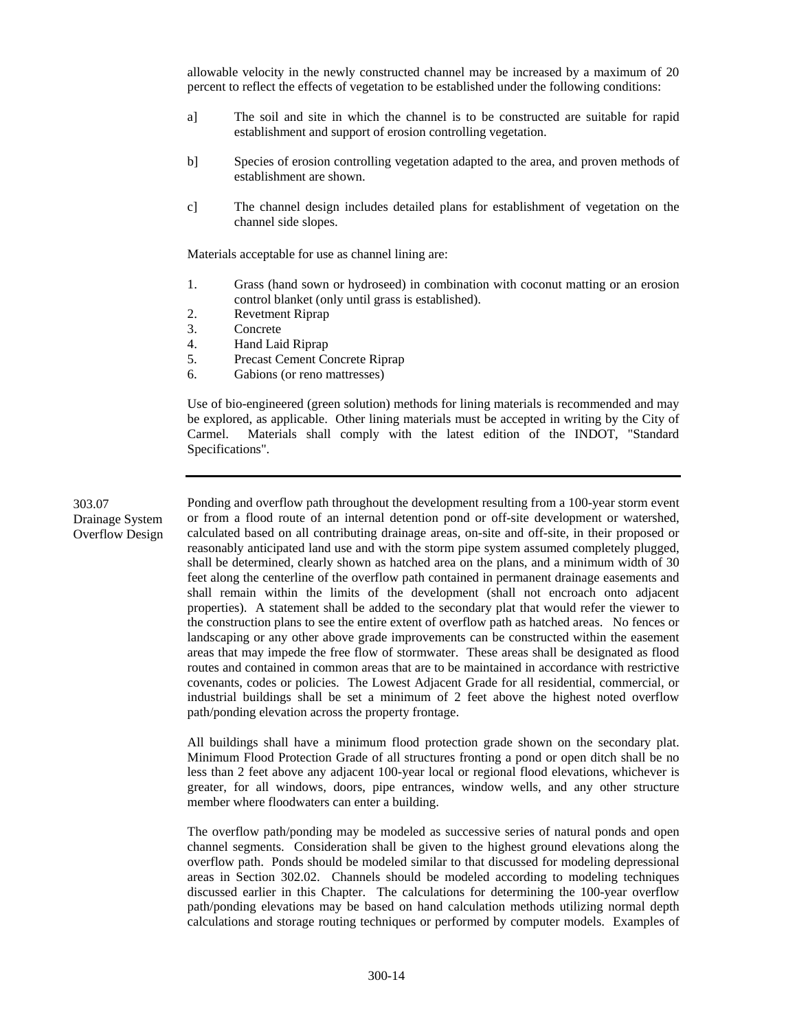allowable velocity in the newly constructed channel may be increased by a maximum of 20 percent to reflect the effects of vegetation to be established under the following conditions:

- a] The soil and site in which the channel is to be constructed are suitable for rapid establishment and support of erosion controlling vegetation.
- b] Species of erosion controlling vegetation adapted to the area, and proven methods of establishment are shown.
- c] The channel design includes detailed plans for establishment of vegetation on the channel side slopes.

Materials acceptable for use as channel lining are:

- 1. Grass (hand sown or hydroseed) in combination with coconut matting or an erosion control blanket (only until grass is established).
- 2. Revetment Riprap
- 3. Concrete
- 4. Hand Laid Riprap
- 5. Precast Cement Concrete Riprap
- 6. Gabions (or reno mattresses)

Use of bio-engineered (green solution) methods for lining materials is recommended and may be explored, as applicable. Other lining materials must be accepted in writing by the City of Carmel. Materials shall comply with the latest edition of the INDOT, "Standard Specifications".

303.07 Drainage System Overflow Design

Ponding and overflow path throughout the development resulting from a 100-year storm event or from a flood route of an internal detention pond or off-site development or watershed, calculated based on all contributing drainage areas, on-site and off-site, in their proposed or reasonably anticipated land use and with the storm pipe system assumed completely plugged, shall be determined, clearly shown as hatched area on the plans, and a minimum width of 30 feet along the centerline of the overflow path contained in permanent drainage easements and shall remain within the limits of the development (shall not encroach onto adjacent properties). A statement shall be added to the secondary plat that would refer the viewer to the construction plans to see the entire extent of overflow path as hatched areas. No fences or landscaping or any other above grade improvements can be constructed within the easement areas that may impede the free flow of stormwater. These areas shall be designated as flood routes and contained in common areas that are to be maintained in accordance with restrictive covenants, codes or policies. The Lowest Adjacent Grade for all residential, commercial, or industrial buildings shall be set a minimum of 2 feet above the highest noted overflow path/ponding elevation across the property frontage.

All buildings shall have a minimum flood protection grade shown on the secondary plat. Minimum Flood Protection Grade of all structures fronting a pond or open ditch shall be no less than 2 feet above any adjacent 100-year local or regional flood elevations, whichever is greater, for all windows, doors, pipe entrances, window wells, and any other structure member where floodwaters can enter a building.

The overflow path/ponding may be modeled as successive series of natural ponds and open channel segments. Consideration shall be given to the highest ground elevations along the overflow path. Ponds should be modeled similar to that discussed for modeling depressional areas in Section 302.02. Channels should be modeled according to modeling techniques discussed earlier in this Chapter. The calculations for determining the 100-year overflow path/ponding elevations may be based on hand calculation methods utilizing normal depth calculations and storage routing techniques or performed by computer models. Examples of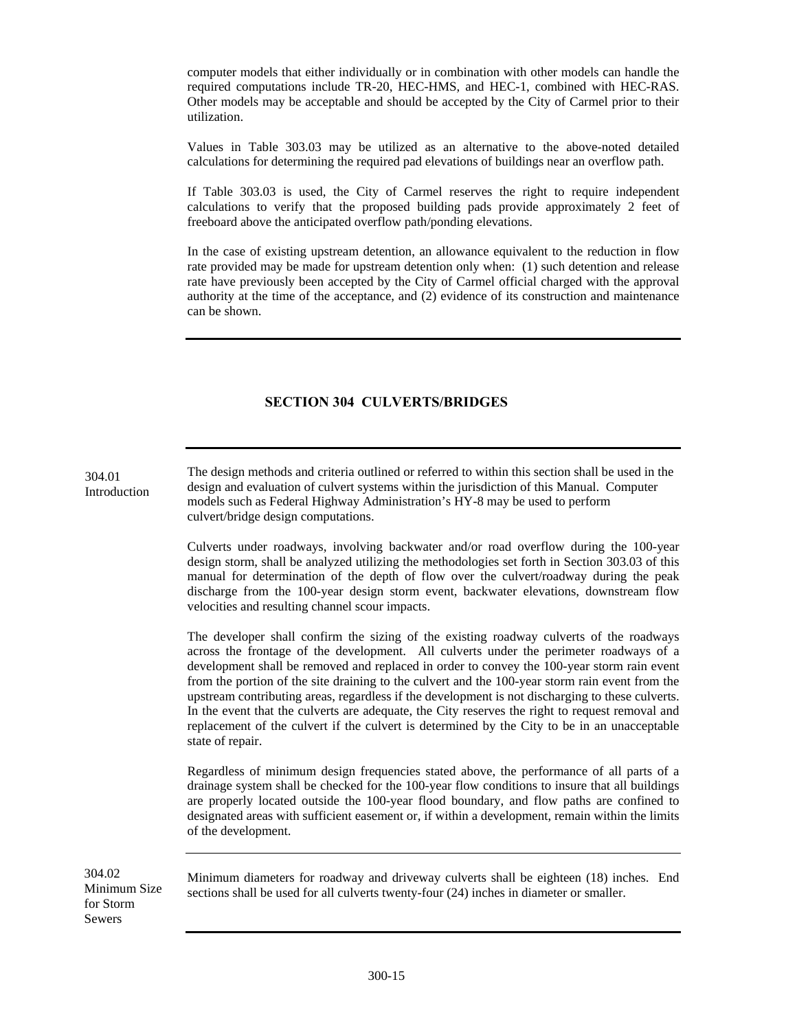computer models that either individually or in combination with other models can handle the required computations include TR-20, HEC-HMS, and HEC-1, combined with HEC-RAS. Other models may be acceptable and should be accepted by the City of Carmel prior to their utilization.

Values in Table 303.03 may be utilized as an alternative to the above-noted detailed calculations for determining the required pad elevations of buildings near an overflow path.

If Table 303.03 is used, the City of Carmel reserves the right to require independent calculations to verify that the proposed building pads provide approximately 2 feet of freeboard above the anticipated overflow path/ponding elevations.

In the case of existing upstream detention, an allowance equivalent to the reduction in flow rate provided may be made for upstream detention only when: (1) such detention and release rate have previously been accepted by the City of Carmel official charged with the approval authority at the time of the acceptance, and (2) evidence of its construction and maintenance can be shown.

## **SECTION 304 CULVERTS/BRIDGES**

The design methods and criteria outlined or referred to within this section shall be used in the design and evaluation of culvert systems within the jurisdiction of this Manual. Computer models such as Federal Highway Administration's HY-8 may be used to perform culvert/bridge design computations. Introduction

> Culverts under roadways, involving backwater and/or road overflow during the 100-year design storm, shall be analyzed utilizing the methodologies set forth in Section 303.03 of this manual for determination of the depth of flow over the culvert/roadway during the peak discharge from the 100-year design storm event, backwater elevations, downstream flow velocities and resulting channel scour impacts.

> The developer shall confirm the sizing of the existing roadway culverts of the roadways across the frontage of the development. All culverts under the perimeter roadways of a development shall be removed and replaced in order to convey the 100-year storm rain event from the portion of the site draining to the culvert and the 100-year storm rain event from the upstream contributing areas, regardless if the development is not discharging to these culverts. In the event that the culverts are adequate, the City reserves the right to request removal and replacement of the culvert if the culvert is determined by the City to be in an unacceptable state of repair.

> Regardless of minimum design frequencies stated above, the performance of all parts of a drainage system shall be checked for the 100-year flow conditions to insure that all buildings are properly located outside the 100-year flood boundary, and flow paths are confined to designated areas with sufficient easement or, if within a development, remain within the limits of the development.

304.02 Minimum Size for Storm Sewers

304.01

Minimum diameters for roadway and driveway culverts shall be eighteen (18) inches. End sections shall be used for all culverts twenty-four (24) inches in diameter or smaller.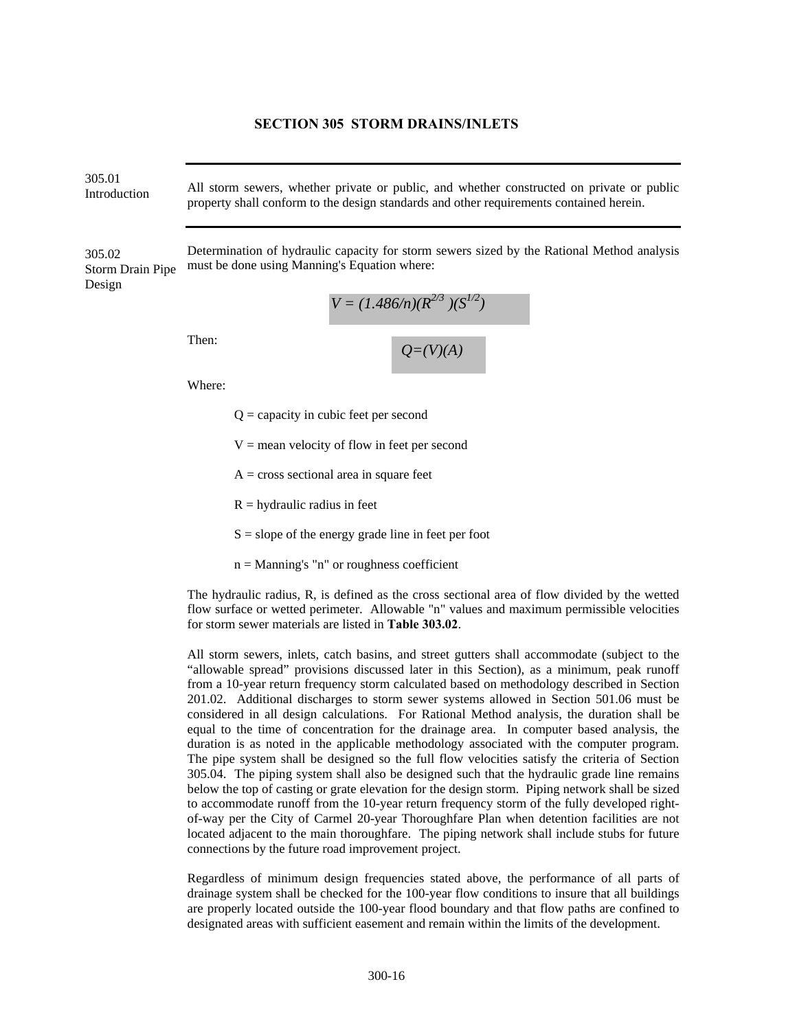#### **SECTION 305 STORM DRAINS/INLETS**

305.01

Introduction All storm sewers, whether private or public, and whether constructed on private or public property shall conform to the design standards and other requirements contained herein.

Determination of hydraulic capacity for storm sewers sized by the Rational Method analysis must be done using Manning's Equation where: 305.02 Storm Drain Pipe Design

$$
V = (1.486/n)(R^{2/3})(S^{1/2})
$$

Then:

 $Q=(V)(A)$ 

Where:

 $Q =$  capacity in cubic feet per second

 $V =$  mean velocity of flow in feet per second

- $A = \text{cross sectional area in square feet}$
- $R =$  hydraulic radius in feet

 $S = slope of the energy grade line in feet per foot$ 

 $n =$  Manning's "n" or roughness coefficient

The hydraulic radius, R, is defined as the cross sectional area of flow divided by the wetted flow surface or wetted perimeter. Allowable "n" values and maximum permissible velocities for storm sewer materials are listed in **Table 303.02**.

All storm sewers, inlets, catch basins, and street gutters shall accommodate (subject to the "allowable spread" provisions discussed later in this Section), as a minimum, peak runoff from a 10-year return frequency storm calculated based on methodology described in Section 201.02. Additional discharges to storm sewer systems allowed in Section 501.06 must be considered in all design calculations. For Rational Method analysis, the duration shall be equal to the time of concentration for the drainage area. In computer based analysis, the duration is as noted in the applicable methodology associated with the computer program. The pipe system shall be designed so the full flow velocities satisfy the criteria of Section 305.04. The piping system shall also be designed such that the hydraulic grade line remains below the top of casting or grate elevation for the design storm. Piping network shall be sized to accommodate runoff from the 10-year return frequency storm of the fully developed rightof-way per the City of Carmel 20-year Thoroughfare Plan when detention facilities are not located adjacent to the main thoroughfare. The piping network shall include stubs for future connections by the future road improvement project.

Regardless of minimum design frequencies stated above, the performance of all parts of drainage system shall be checked for the 100-year flow conditions to insure that all buildings are properly located outside the 100-year flood boundary and that flow paths are confined to designated areas with sufficient easement and remain within the limits of the development.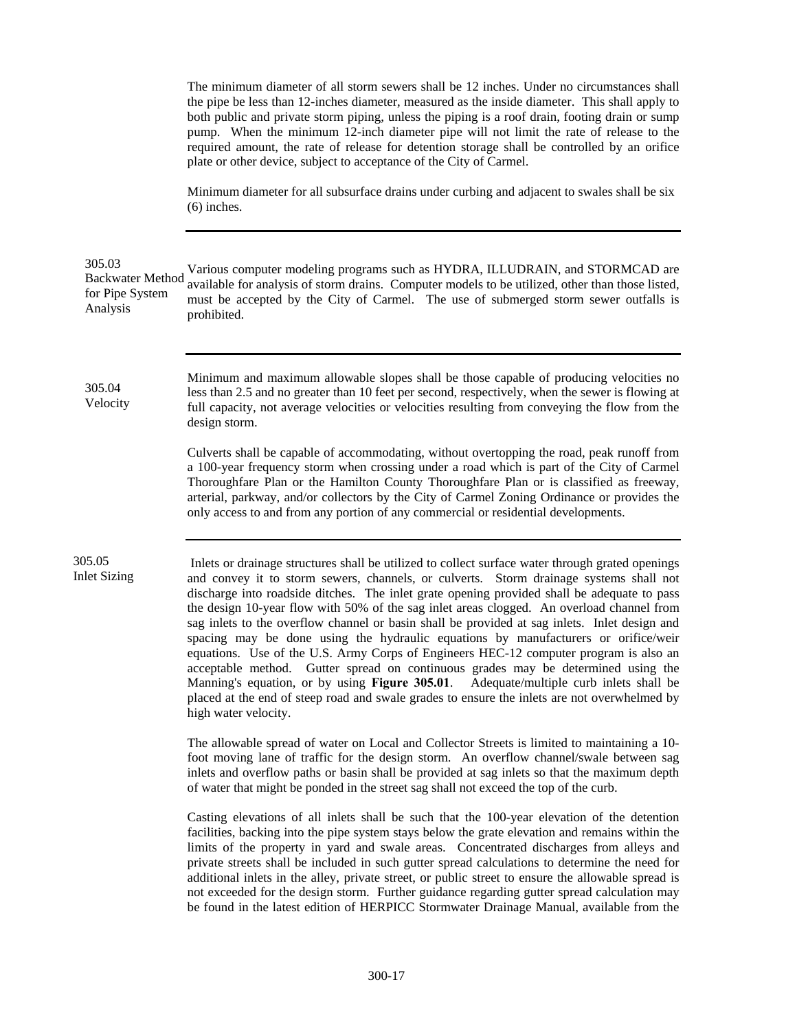The minimum diameter of all storm sewers shall be 12 inches. Under no circumstances shall the pipe be less than 12-inches diameter, measured as the inside diameter. This shall apply to both public and private storm piping, unless the piping is a roof drain, footing drain or sump pump. When the minimum 12-inch diameter pipe will not limit the rate of release to the required amount, the rate of release for detention storage shall be controlled by an orifice plate or other device, subject to acceptance of the City of Carmel.

Minimum diameter for all subsurface drains under curbing and adjacent to swales shall be six (6) inches.

#### 305.03

Various computer modeling programs such as HYDRA, ILLUDRAIN, and STORMCAD are available for analysis of storm drains. Computer models to be utilized, other than those listed, must be accepted by the City of Carmel. The use of submerged storm sewer outfalls is prohibited. Backwater Method for Pipe System Analysis

305.04 Velocity Minimum and maximum allowable slopes shall be those capable of producing velocities no less than 2.5 and no greater than 10 feet per second, respectively, when the sewer is flowing at full capacity, not average velocities or velocities resulting from conveying the flow from the design storm.

Culverts shall be capable of accommodating, without overtopping the road, peak runoff from a 100-year frequency storm when crossing under a road which is part of the City of Carmel Thoroughfare Plan or the Hamilton County Thoroughfare Plan or is classified as freeway, arterial, parkway, and/or collectors by the City of Carmel Zoning Ordinance or provides the only access to and from any portion of any commercial or residential developments.

305.05 Inlet Sizing

 Inlets or drainage structures shall be utilized to collect surface water through grated openings and convey it to storm sewers, channels, or culverts. Storm drainage systems shall not discharge into roadside ditches. The inlet grate opening provided shall be adequate to pass the design 10-year flow with 50% of the sag inlet areas clogged. An overload channel from sag inlets to the overflow channel or basin shall be provided at sag inlets. Inlet design and spacing may be done using the hydraulic equations by manufacturers or orifice/weir equations. Use of the U.S. Army Corps of Engineers HEC-12 computer program is also an acceptable method. Gutter spread on continuous grades may be determined using the Manning's equation, or by using **Figure 305.01**. Adequate/multiple curb inlets shall be placed at the end of steep road and swale grades to ensure the inlets are not overwhelmed by high water velocity.

The allowable spread of water on Local and Collector Streets is limited to maintaining a 10 foot moving lane of traffic for the design storm. An overflow channel/swale between sag inlets and overflow paths or basin shall be provided at sag inlets so that the maximum depth of water that might be ponded in the street sag shall not exceed the top of the curb.

Casting elevations of all inlets shall be such that the 100-year elevation of the detention facilities, backing into the pipe system stays below the grate elevation and remains within the limits of the property in yard and swale areas. Concentrated discharges from alleys and private streets shall be included in such gutter spread calculations to determine the need for additional inlets in the alley, private street, or public street to ensure the allowable spread is not exceeded for the design storm. Further guidance regarding gutter spread calculation may be found in the latest edition of HERPICC Stormwater Drainage Manual, available from the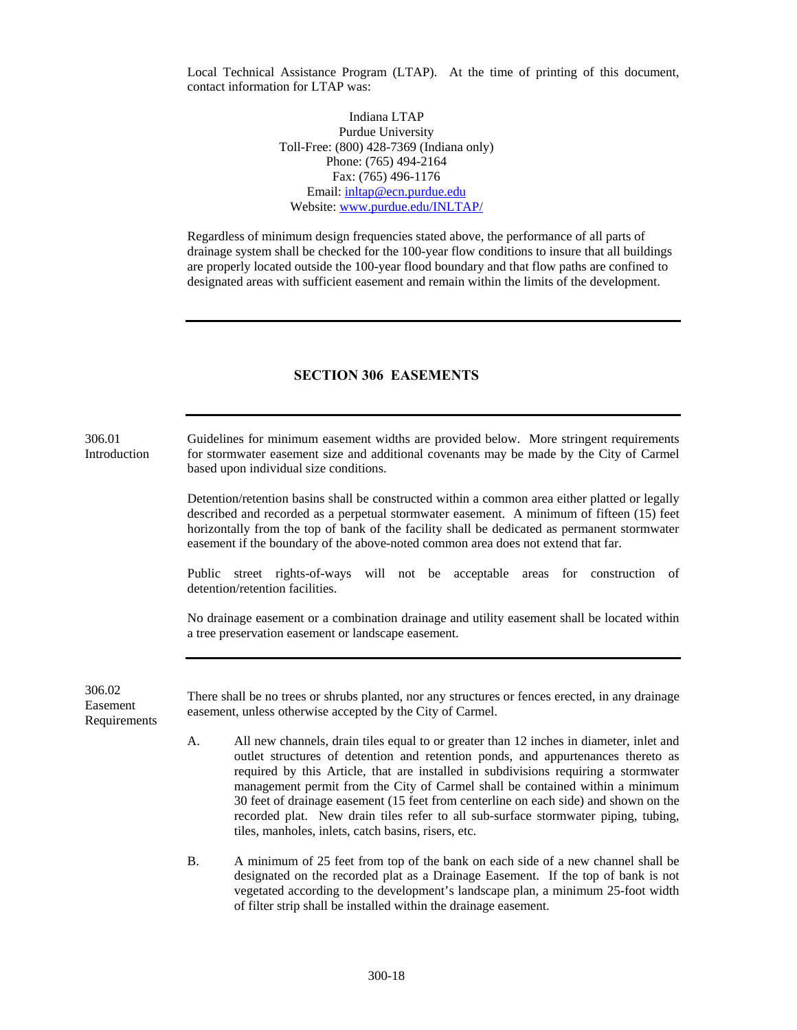Local Technical Assistance Program (LTAP). At the time of printing of this document, contact information for LTAP was:

> Indiana LTAP Purdue University Toll-Free: (800) 428-7369 (Indiana only) Phone: (765) 494-2164 Fax: (765) 496-1176 Email: [inltap@ecn.purdue.edu](mailto:inltap@ecn.purdue.edu) Website: [www.purdue.edu/INLTAP/](http://www.purdue.edu/INLTAP/)

Regardless of minimum design frequencies stated above, the performance of all parts of drainage system shall be checked for the 100-year flow conditions to insure that all buildings are properly located outside the 100-year flood boundary and that flow paths are confined to designated areas with sufficient easement and remain within the limits of the development.

#### **SECTION 306 EASEMENTS**

306.01 Introduction Guidelines for minimum easement widths are provided below. More stringent requirements for stormwater easement size and additional covenants may be made by the City of Carmel based upon individual size conditions.

> Detention/retention basins shall be constructed within a common area either platted or legally described and recorded as a perpetual stormwater easement. A minimum of fifteen (15) feet horizontally from the top of bank of the facility shall be dedicated as permanent stormwater easement if the boundary of the above-noted common area does not extend that far.

> Public street rights-of-ways will not be acceptable areas for construction of detention/retention facilities.

> No drainage easement or a combination drainage and utility easement shall be located within a tree preservation easement or landscape easement.

306.02 Easement Requirements

There shall be no trees or shrubs planted, nor any structures or fences erected, in any drainage easement, unless otherwise accepted by the City of Carmel.

- A. All new channels, drain tiles equal to or greater than 12 inches in diameter, inlet and outlet structures of detention and retention ponds, and appurtenances thereto as required by this Article, that are installed in subdivisions requiring a stormwater management permit from the City of Carmel shall be contained within a minimum 30 feet of drainage easement (15 feet from centerline on each side) and shown on the recorded plat. New drain tiles refer to all sub-surface stormwater piping, tubing, tiles, manholes, inlets, catch basins, risers, etc.
- B. A minimum of 25 feet from top of the bank on each side of a new channel shall be designated on the recorded plat as a Drainage Easement. If the top of bank is not vegetated according to the development's landscape plan, a minimum 25-foot width of filter strip shall be installed within the drainage easement.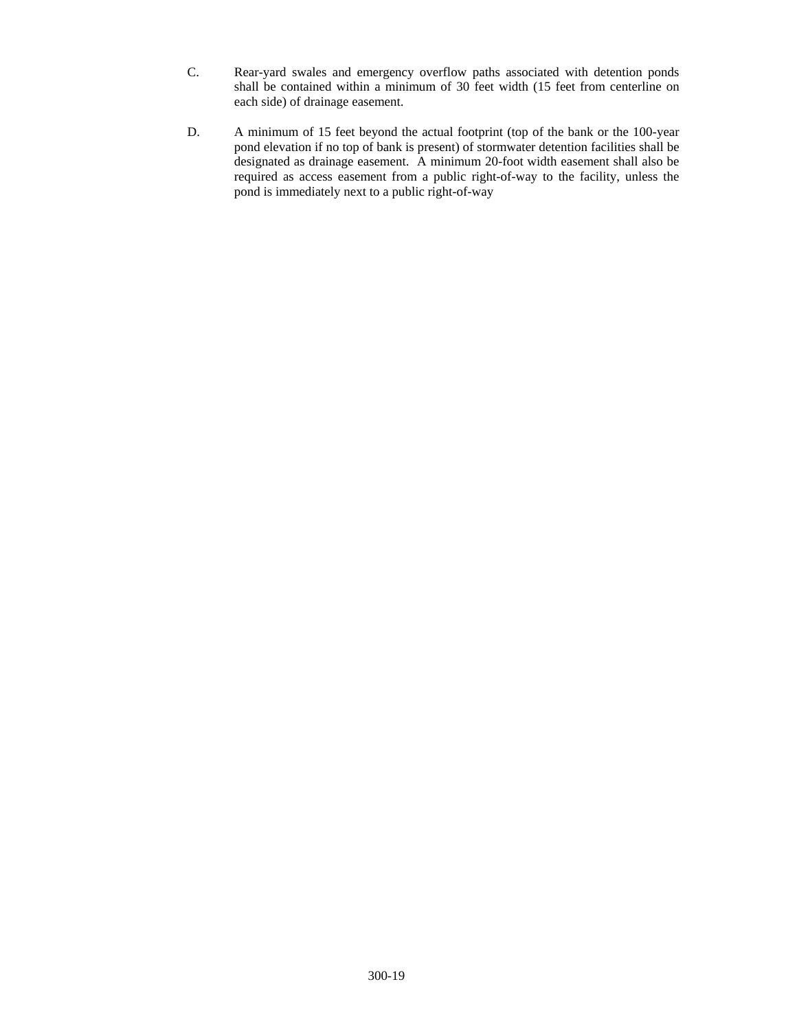- C. Rear-yard swales and emergency overflow paths associated with detention ponds shall be contained within a minimum of 30 feet width (15 feet from centerline on each side) of drainage easement.
- D. A minimum of 15 feet beyond the actual footprint (top of the bank or the 100-year pond elevation if no top of bank is present) of stormwater detention facilities shall be designated as drainage easement. A minimum 20-foot width easement shall also be required as access easement from a public right-of-way to the facility, unless the pond is immediately next to a public right-of-way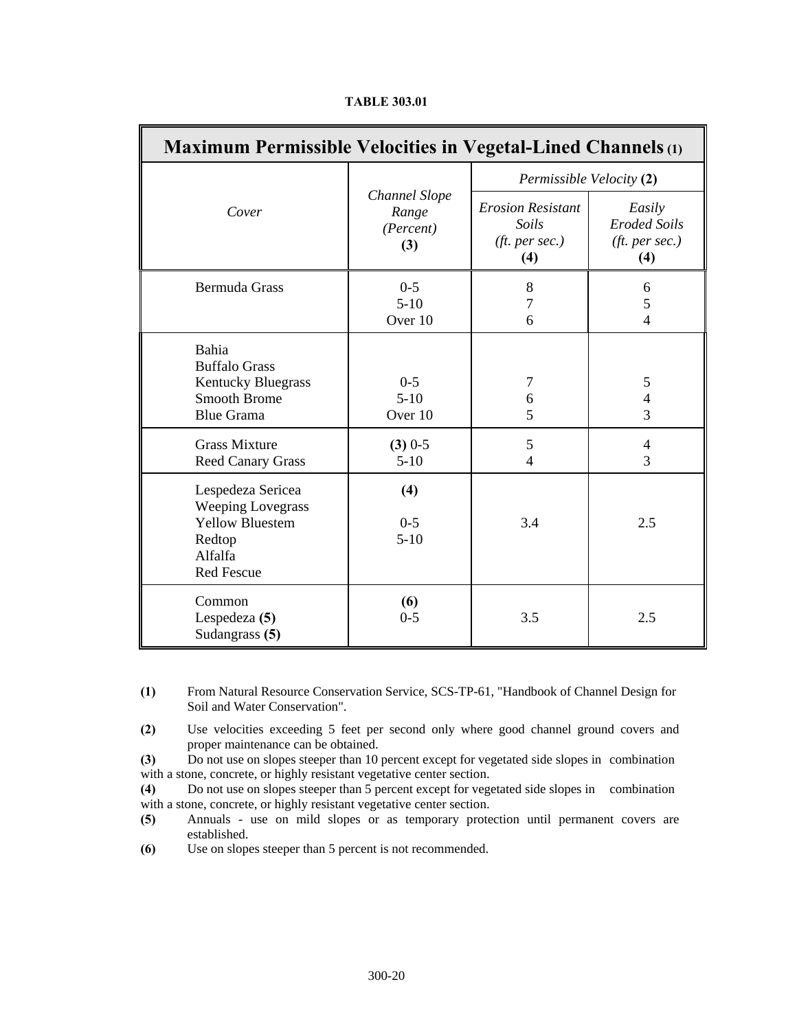| <b>Maximum Permissible Velocities in Vegetal-Lined Channels</b> (1)                                               |                                            |                                                                     |                                                                 |  |
|-------------------------------------------------------------------------------------------------------------------|--------------------------------------------|---------------------------------------------------------------------|-----------------------------------------------------------------|--|
|                                                                                                                   |                                            | Permissible Velocity (2)                                            |                                                                 |  |
| Cover                                                                                                             | Channel Slope<br>Range<br>(Percent)<br>(3) | <b>Erosion Resistant</b><br>Soils<br>( <i>ft. per sec.</i> )<br>(4) | Easily<br><b>Eroded Soils</b><br>( <i>ft. per sec.</i> )<br>(4) |  |
| <b>Bermuda Grass</b>                                                                                              | $0-5$<br>$5-10$<br>Over 10                 | 8<br>7<br>6                                                         | 6<br>5<br>$\overline{4}$                                        |  |
| Bahia<br><b>Buffalo Grass</b><br><b>Kentucky Bluegrass</b><br><b>Smooth Brome</b><br><b>Blue Grama</b>            | $0 - 5$<br>$5-10$<br>Over 10               | $\tau$<br>6<br>5                                                    | $\mathfrak s$<br>$\overline{4}$<br>3                            |  |
| <b>Grass Mixture</b><br><b>Reed Canary Grass</b>                                                                  | $(3)$ 0-5<br>$5-10$                        | 5<br>4                                                              | $\overline{4}$<br>3                                             |  |
| Lespedeza Sericea<br><b>Weeping Lovegrass</b><br><b>Yellow Bluestem</b><br>Redtop<br>Alfalfa<br><b>Red Fescue</b> | (4)<br>$0 - 5$<br>$5-10$                   | 3.4                                                                 | 2.5                                                             |  |
| Common<br>Lespedeza (5)<br>Sudangrass (5)                                                                         | (6)<br>$0 - 5$                             | 3.5                                                                 | 2.5                                                             |  |

**TABLE 303.01** 

- **(1)** From Natural Resource Conservation Service, SCS-TP-61, "Handbook of Channel Design for Soil and Water Conservation".
- **(2)** Use velocities exceeding 5 feet per second only where good channel ground covers and proper maintenance can be obtained.
- **(3)** Do not use on slopes steeper than 10 percent except for vegetated side slopes in combination with a stone, concrete, or highly resistant vegetative center section.
- **(4)** Do not use on slopes steeper than 5 percent except for vegetated side slopes in combination with a stone, concrete, or highly resistant vegetative center section.
- **(5)** Annuals use on mild slopes or as temporary protection until permanent covers are established.
- **(6)** Use on slopes steeper than 5 percent is not recommended.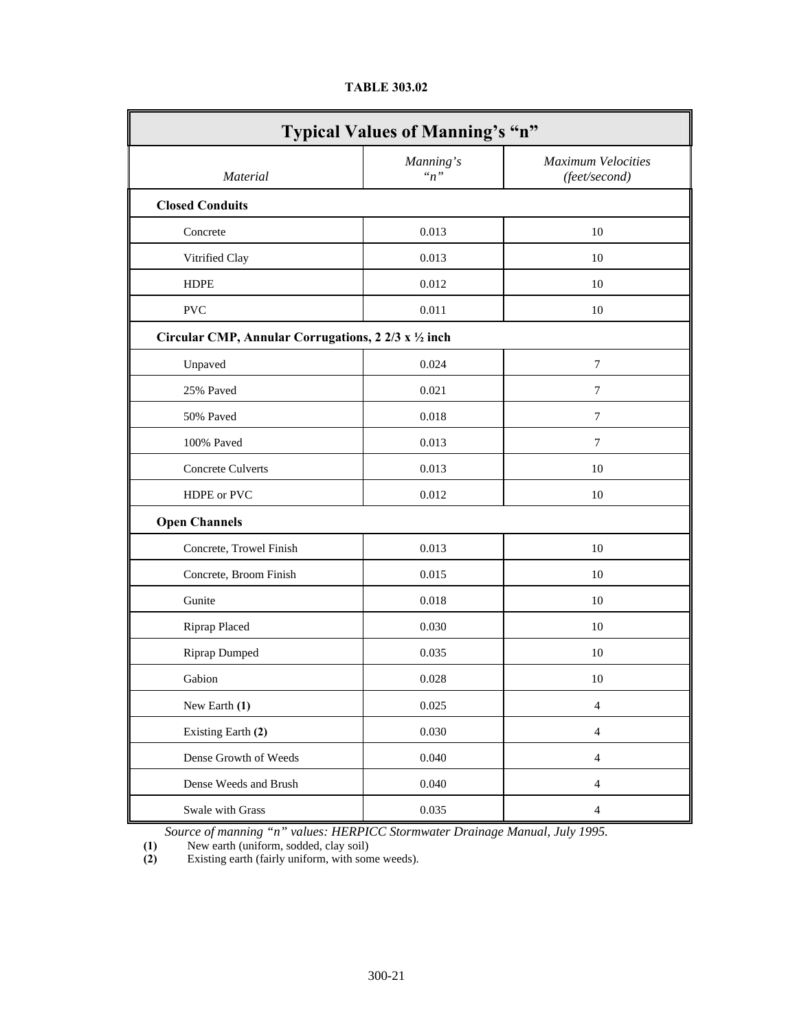| <b>Typical Values of Manning's "n"</b>               |                   |                                            |  |  |
|------------------------------------------------------|-------------------|--------------------------------------------|--|--|
| <b>Material</b>                                      | Manning's<br>n, n | <b>Maximum Velocities</b><br>(feet/second) |  |  |
| <b>Closed Conduits</b>                               |                   |                                            |  |  |
| Concrete                                             | 0.013             | 10                                         |  |  |
| Vitrified Clay                                       | 0.013             | 10                                         |  |  |
| <b>HDPE</b>                                          | 0.012             | 10                                         |  |  |
| <b>PVC</b>                                           | 0.011             | 10                                         |  |  |
| Circular CMP, Annular Corrugations, 2 2/3 x 1/2 inch |                   |                                            |  |  |
| Unpaved                                              | 0.024             | 7                                          |  |  |
| 25% Paved                                            | 0.021             | $\overline{7}$                             |  |  |
| 50% Paved                                            | 0.018             | 7                                          |  |  |
| 100% Paved                                           | 0.013             | 7                                          |  |  |
| Concrete Culverts                                    | 0.013             | 10                                         |  |  |
| HDPE or PVC                                          | 0.012             | 10                                         |  |  |
| <b>Open Channels</b>                                 |                   |                                            |  |  |
| Concrete, Trowel Finish                              | 0.013             | 10                                         |  |  |
| Concrete, Broom Finish                               | 0.015             | 10                                         |  |  |
| Gunite                                               | 0.018             | 10                                         |  |  |
| Riprap Placed                                        | 0.030             | 10                                         |  |  |
| <b>Riprap Dumped</b>                                 | 0.035             | 10                                         |  |  |
| Gabion                                               | 0.028             | 10                                         |  |  |
| New Earth (1)                                        | 0.025             | $\overline{4}$                             |  |  |
| Existing Earth (2)                                   | 0.030             | $\overline{4}$                             |  |  |
| Dense Growth of Weeds                                | 0.040             | $\overline{4}$                             |  |  |
| Dense Weeds and Brush                                | 0.040             | $\overline{4}$                             |  |  |
| Swale with Grass                                     | 0.035             | $\overline{4}$                             |  |  |

# **TABLE 303.02**

*Source of manning "n" values: HERPICC Stormwater Drainage Manual, July 1995.*

 **(1)** New earth (uniform, sodded, clay soil)

 **(2)** Existing earth (fairly uniform, with some weeds).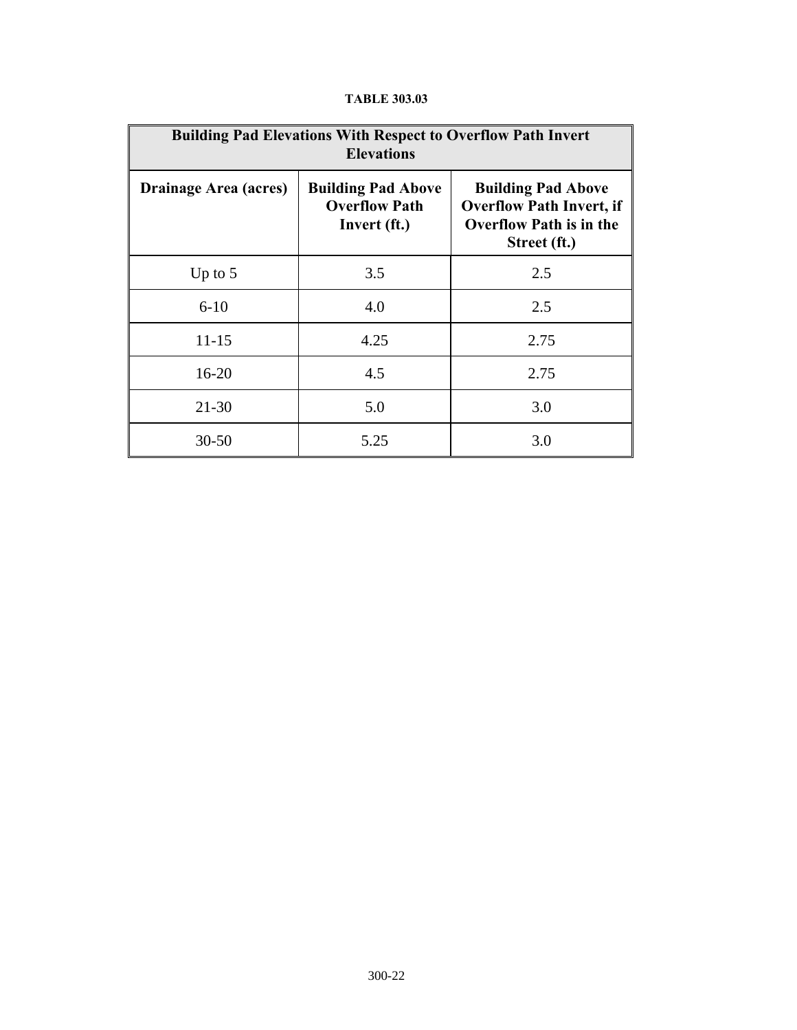| <b>Building Pad Elevations With Respect to Overflow Path Invert</b><br><b>Elevations</b> |                                                                   |                                                                                                                |  |
|------------------------------------------------------------------------------------------|-------------------------------------------------------------------|----------------------------------------------------------------------------------------------------------------|--|
| Drainage Area (acres)                                                                    | <b>Building Pad Above</b><br><b>Overflow Path</b><br>Invert (ft.) | <b>Building Pad Above</b><br><b>Overflow Path Invert, if</b><br><b>Overflow Path is in the</b><br>Street (ft.) |  |
| Up to $5$                                                                                | 3.5                                                               | 2.5                                                                                                            |  |
| $6 - 10$                                                                                 | 4.0                                                               | 2.5                                                                                                            |  |
| $11 - 15$                                                                                | 4.25                                                              | 2.75                                                                                                           |  |
| $16 - 20$                                                                                | 4.5                                                               | 2.75                                                                                                           |  |
| $21 - 30$                                                                                | 5.0                                                               | 3.0                                                                                                            |  |
| $30 - 50$                                                                                | 5.25                                                              | 3.0                                                                                                            |  |

# **TABLE 303.03**